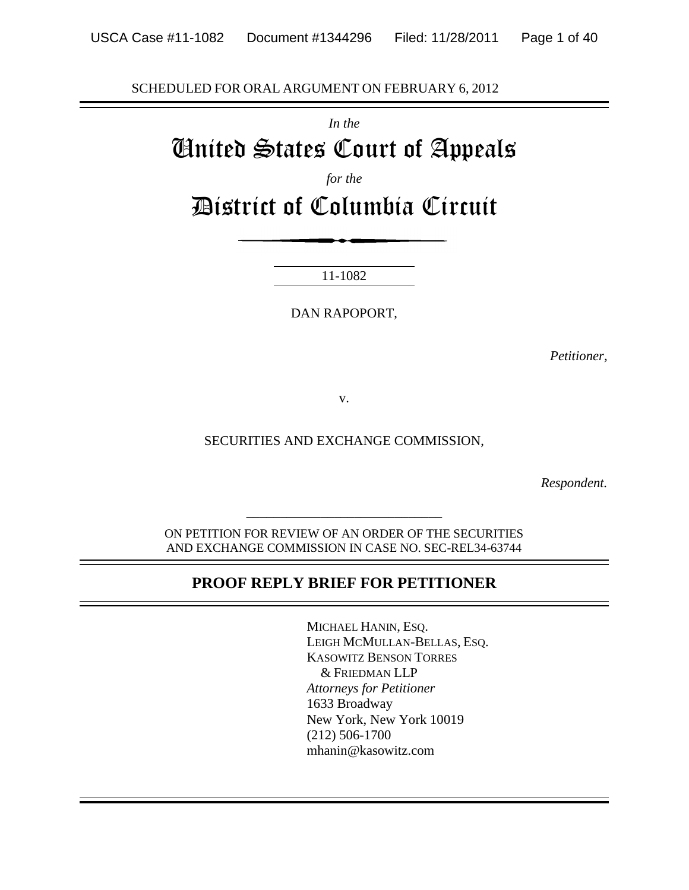SCHEDULED FOR ORAL ARGUMENT ON FEBRUARY 6, 2012

*In the*

# United States Court of Appeals

*for the*

District of Columbia Circuit

11-1082

DAN RAPOPORT,

*Petitioner,*

v.

SECURITIES AND EXCHANGE COMMISSION,

*Respondent.*

ON PETITION FOR REVIEW OF AN ORDER OF THE SECURITIES AND EXCHANGE COMMISSION IN CASE NO. SEC-REL34-63744

*\_\_\_\_\_\_\_\_\_\_\_\_\_\_\_\_\_\_\_\_\_\_\_\_\_\_\_\_\_*

#### **PROOF REPLY BRIEF FOR PETITIONER**

MICHAEL HANIN, ESQ. LEIGH MCMULLAN-BELLAS, ESQ. KASOWITZ BENSON TORRES & FRIEDMAN LLP *Attorneys for Petitioner* 1633 Broadway New York, New York 10019 (212) 506-1700 mhanin@kasowitz.com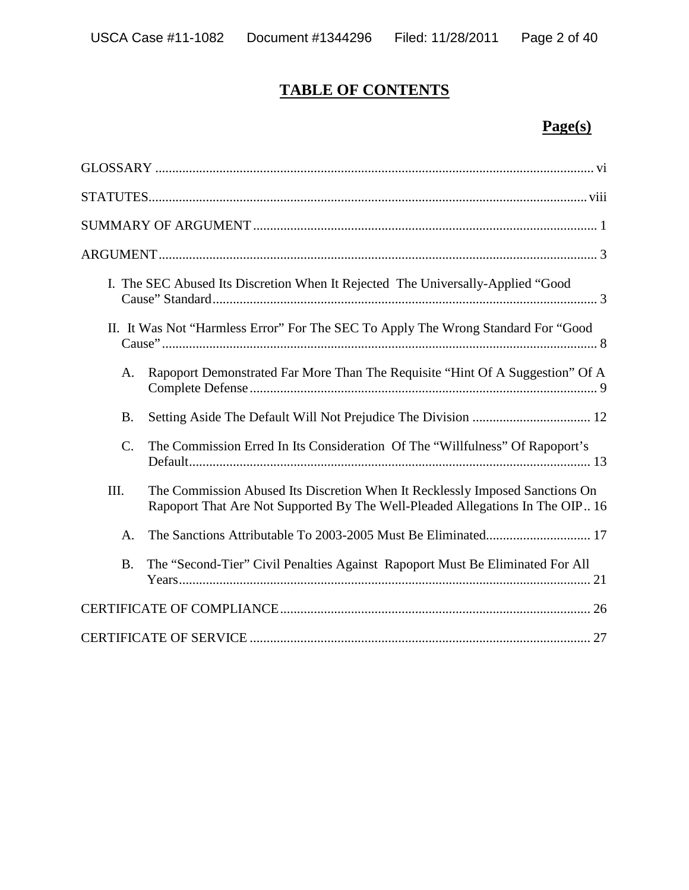# **TABLE OF CONTENTS**

# **Page(s)**

|                 | I. The SEC Abused Its Discretion When It Rejected The Universally-Applied "Good"                                                                              |
|-----------------|---------------------------------------------------------------------------------------------------------------------------------------------------------------|
|                 | II. It Was Not "Harmless Error" For The SEC To Apply The Wrong Standard For "Good                                                                             |
| A.              | Rapoport Demonstrated Far More Than The Requisite "Hint Of A Suggestion" Of A                                                                                 |
| <b>B.</b>       |                                                                                                                                                               |
| $\mathcal{C}$ . | The Commission Erred In Its Consideration Of The "Willfulness" Of Rapoport's                                                                                  |
| III.            | The Commission Abused Its Discretion When It Recklessly Imposed Sanctions On<br>Rapoport That Are Not Supported By The Well-Pleaded Allegations In The OIP 16 |
| A.              |                                                                                                                                                               |
| <b>B.</b>       | The "Second-Tier" Civil Penalties Against Rapoport Must Be Eliminated For All                                                                                 |
|                 |                                                                                                                                                               |
|                 |                                                                                                                                                               |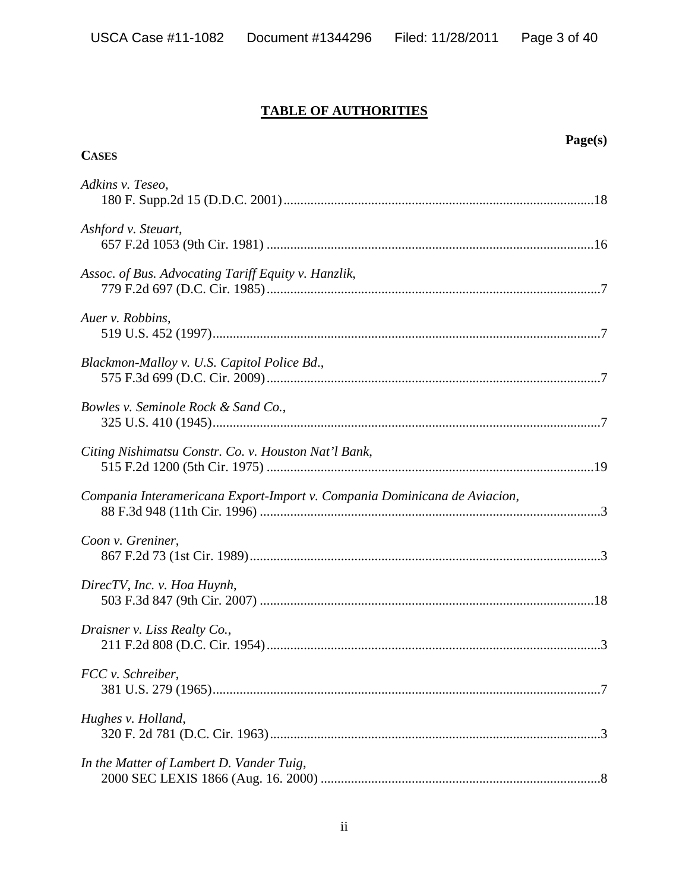#### **TABLE OF AUTHORITIES**

| Page(s)<br><b>CASES</b>                                                   |
|---------------------------------------------------------------------------|
| Adkins v. Teseo,                                                          |
| Ashford v. Steuart,                                                       |
| Assoc. of Bus. Advocating Tariff Equity v. Hanzlik,                       |
| Auer v. Robbins,                                                          |
| Blackmon-Malloy v. U.S. Capitol Police Bd.,                               |
| Bowles v. Seminole Rock & Sand Co.,                                       |
| Citing Nishimatsu Constr. Co. v. Houston Nat'l Bank,                      |
| Compania Interamericana Export-Import v. Compania Dominicana de Aviacion, |
| Coon v. Greniner,                                                         |
| DirecTV, Inc. v. Hoa Huynh,                                               |
| Draisner v. Liss Realty Co.,                                              |
| FCC v. Schreiber,                                                         |
| Hughes v. Holland,                                                        |
| In the Matter of Lambert D. Vander Tuig,                                  |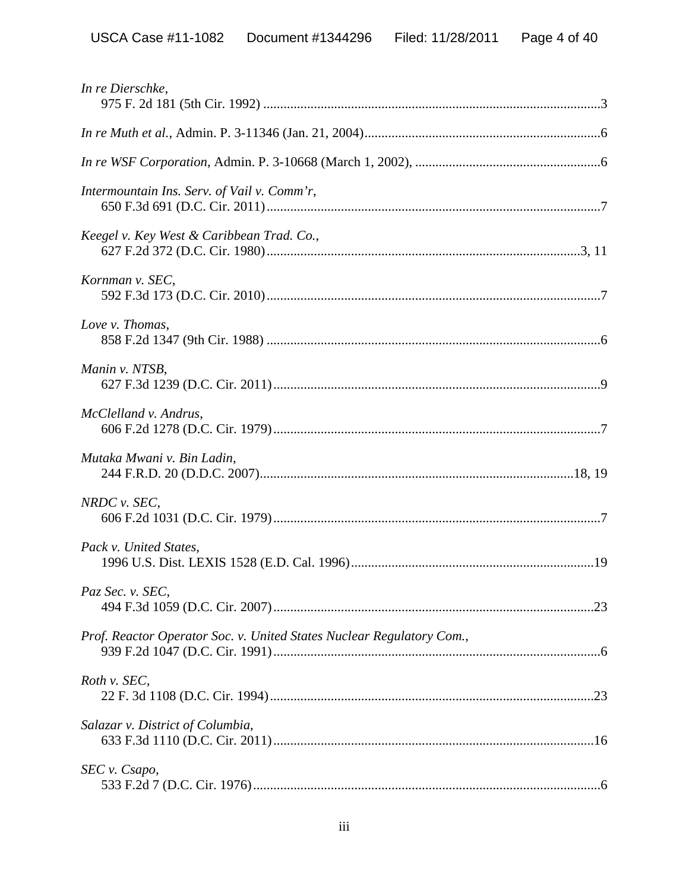| In re Dierschke,                                                      |
|-----------------------------------------------------------------------|
|                                                                       |
|                                                                       |
| Intermountain Ins. Serv. of Vail v. Comm'r,                           |
| Keegel v. Key West & Caribbean Trad. Co.,                             |
| Kornman v. SEC,                                                       |
| Love v. Thomas,                                                       |
| Manin v. NTSB,                                                        |
| McClelland v. Andrus,                                                 |
| Mutaka Mwani v. Bin Ladin,                                            |
| NRDC v. SEC,                                                          |
| Pack v. United States,                                                |
| Paz Sec. v. SEC,                                                      |
| Prof. Reactor Operator Soc. v. United States Nuclear Regulatory Com., |
| Roth v. SEC,                                                          |
| Salazar v. District of Columbia,                                      |
| SEC v. Csapo,                                                         |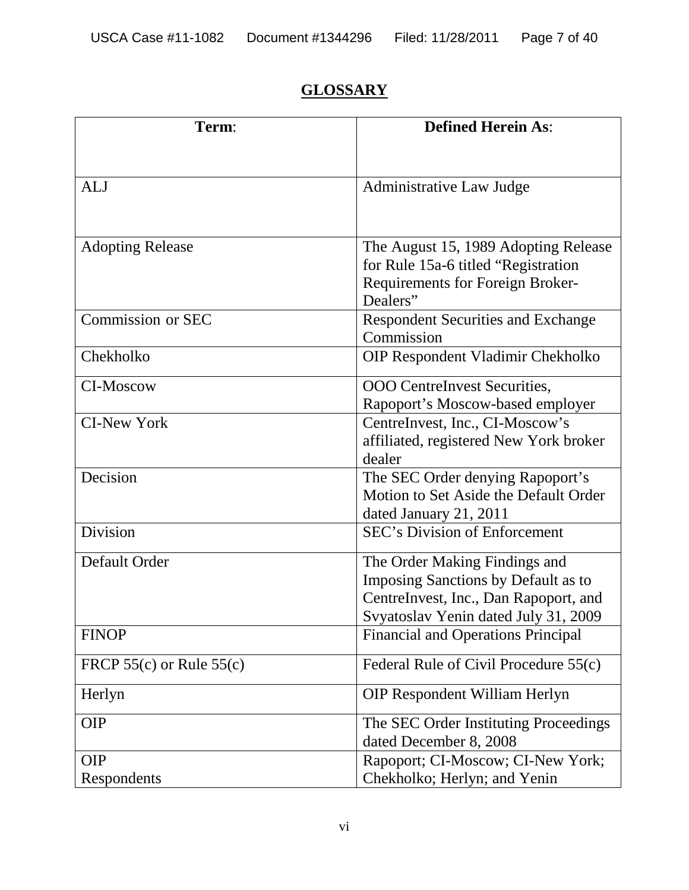# **GLOSSARY**

| Term:                        | <b>Defined Herein As:</b>                 |
|------------------------------|-------------------------------------------|
|                              |                                           |
| <b>ALJ</b>                   | Administrative Law Judge                  |
|                              |                                           |
|                              |                                           |
| <b>Adopting Release</b>      | The August 15, 1989 Adopting Release      |
|                              | for Rule 15a-6 titled "Registration       |
|                              | Requirements for Foreign Broker-          |
|                              | Dealers"                                  |
| Commission or SEC            | <b>Respondent Securities and Exchange</b> |
|                              | Commission                                |
| Chekholko                    | OIP Respondent Vladimir Chekholko         |
| CI-Moscow                    | OOO CentreInvest Securities,              |
|                              | Rapoport's Moscow-based employer          |
| <b>CI-New York</b>           | CentreInvest, Inc., CI-Moscow's           |
|                              | affiliated, registered New York broker    |
|                              | dealer                                    |
| Decision                     | The SEC Order denying Rapoport's          |
|                              | Motion to Set Aside the Default Order     |
|                              | dated January 21, 2011                    |
| Division                     | SEC's Division of Enforcement             |
| Default Order                | The Order Making Findings and             |
|                              | Imposing Sanctions by Default as to       |
|                              | CentreInvest, Inc., Dan Rapoport, and     |
|                              | Svyatoslav Yenin dated July 31, 2009      |
| <b>FINOP</b>                 | <b>Financial and Operations Principal</b> |
| FRCP $55(c)$ or Rule $55(c)$ | Federal Rule of Civil Procedure 55(c)     |
| Herlyn                       | <b>OIP Respondent William Herlyn</b>      |
| <b>OIP</b>                   | The SEC Order Instituting Proceedings     |
|                              | dated December 8, 2008                    |
| <b>OIP</b>                   | Rapoport; CI-Moscow; CI-New York;         |
| Respondents                  | Chekholko; Herlyn; and Yenin              |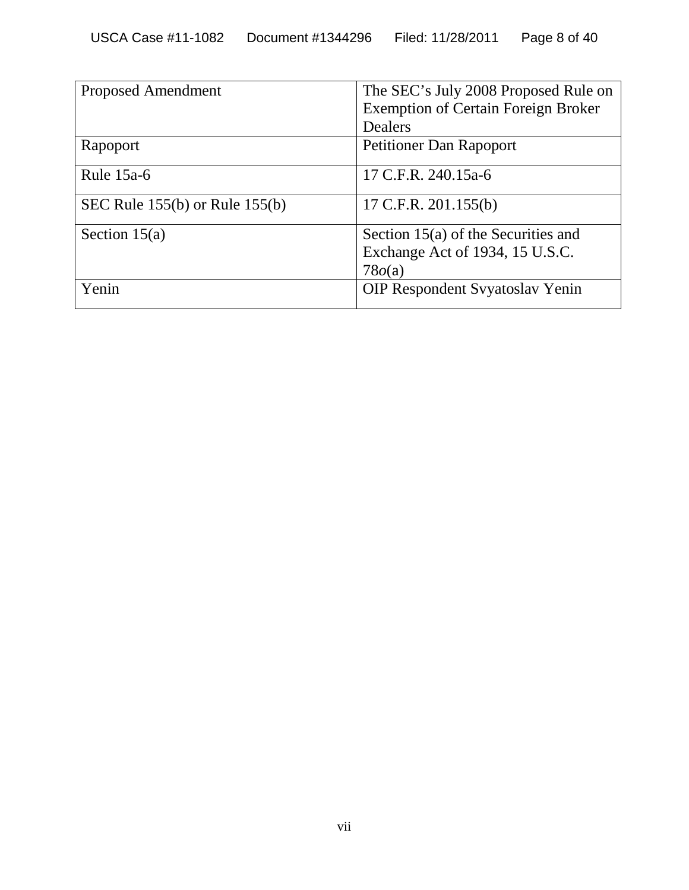| <b>Proposed Amendment</b>          | The SEC's July 2008 Proposed Rule on<br><b>Exemption of Certain Foreign Broker</b> |  |
|------------------------------------|------------------------------------------------------------------------------------|--|
|                                    | <b>Dealers</b>                                                                     |  |
| Rapoport                           | <b>Petitioner Dan Rapoport</b>                                                     |  |
| Rule $15a-6$                       | 17 C.F.R. 240.15a-6                                                                |  |
| SEC Rule $155(b)$ or Rule $155(b)$ | 17 C.F.R. $201.155(b)$                                                             |  |
| Section $15(a)$                    | Section 15(a) of the Securities and<br>Exchange Act of 1934, 15 U.S.C.<br>78o(a)   |  |
| Yenin                              | <b>OIP Respondent Syyatoslav Yenin</b>                                             |  |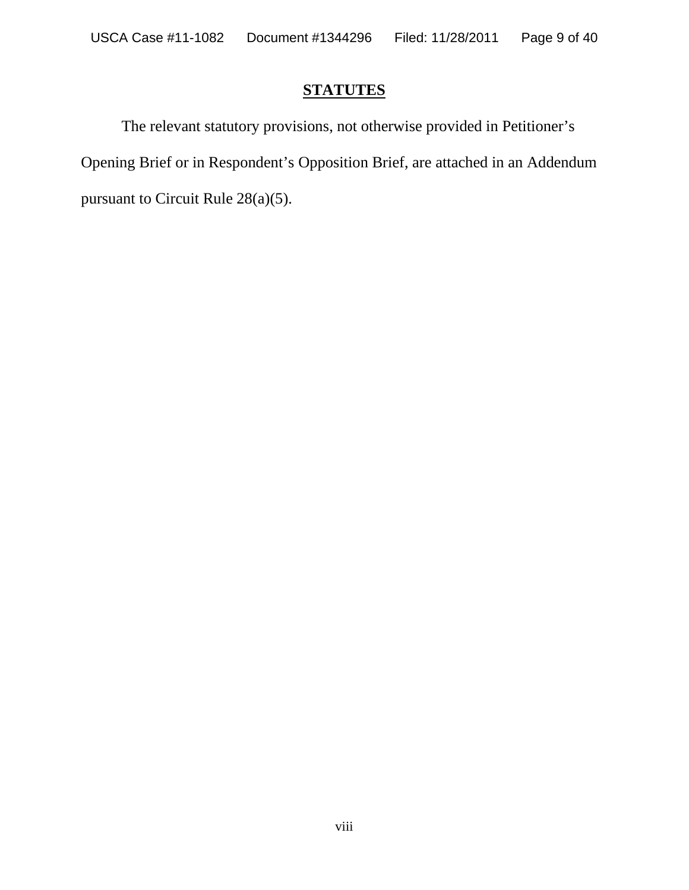## **STATUTES**

The relevant statutory provisions, not otherwise provided in Petitioner's Opening Brief or in Respondent's Opposition Brief, are attached in an Addendum pursuant to Circuit Rule 28(a)(5).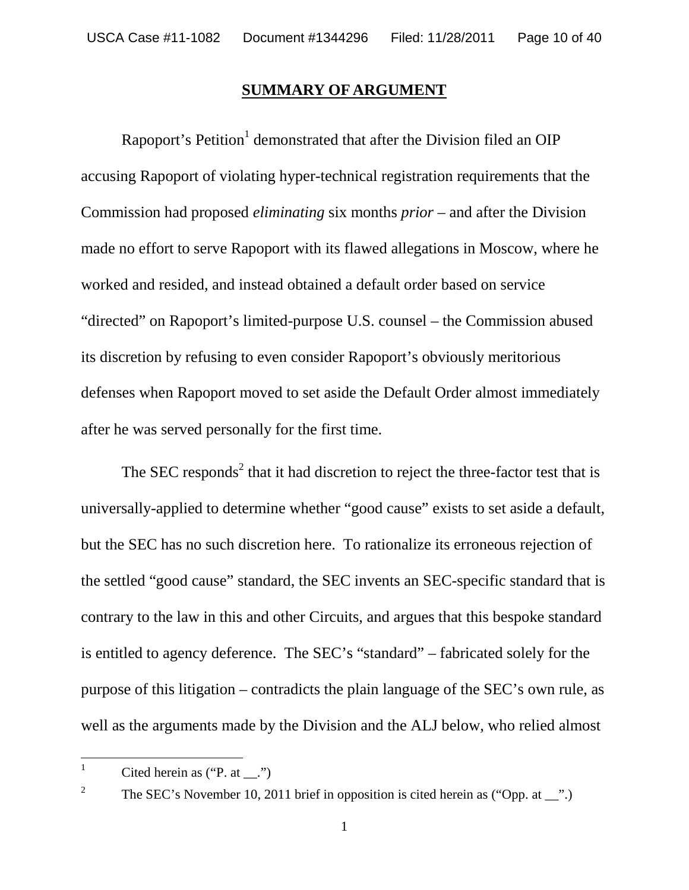#### **SUMMARY OF ARGUMENT**

Rapoport's Petition<sup>1</sup> demonstrated that after the Division filed an OIP accusing Rapoport of violating hyper-technical registration requirements that the Commission had proposed *eliminating* six months *prior* – and after the Division made no effort to serve Rapoport with its flawed allegations in Moscow, where he worked and resided, and instead obtained a default order based on service "directed" on Rapoport's limited-purpose U.S. counsel – the Commission abused its discretion by refusing to even consider Rapoport's obviously meritorious defenses when Rapoport moved to set aside the Default Order almost immediately after he was served personally for the first time.

The SEC responds<sup>2</sup> that it had discretion to reject the three-factor test that is universally-applied to determine whether "good cause" exists to set aside a default, but the SEC has no such discretion here. To rationalize its erroneous rejection of the settled "good cause" standard, the SEC invents an SEC-specific standard that is contrary to the law in this and other Circuits, and argues that this bespoke standard is entitled to agency deference. The SEC's "standard" – fabricated solely for the purpose of this litigation – contradicts the plain language of the SEC's own rule, as well as the arguments made by the Division and the ALJ below, who relied almost

<sup>&</sup>lt;sup>1</sup> Cited herein as ("P. at  $\ldots$ ")

<sup>2</sup> The SEC's November 10, 2011 brief in opposition is cited herein as ("Opp. at \_\_".)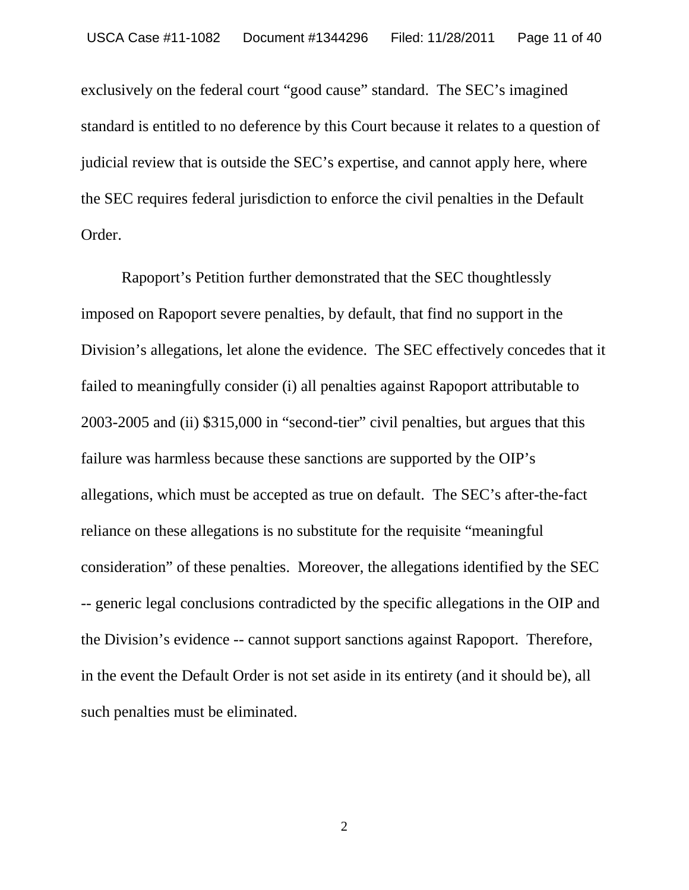exclusively on the federal court "good cause" standard. The SEC's imagined standard is entitled to no deference by this Court because it relates to a question of judicial review that is outside the SEC's expertise, and cannot apply here, where the SEC requires federal jurisdiction to enforce the civil penalties in the Default Order.

Rapoport's Petition further demonstrated that the SEC thoughtlessly imposed on Rapoport severe penalties, by default, that find no support in the Division's allegations, let alone the evidence. The SEC effectively concedes that it failed to meaningfully consider (i) all penalties against Rapoport attributable to 2003-2005 and (ii) \$315,000 in "second-tier" civil penalties, but argues that this failure was harmless because these sanctions are supported by the OIP's allegations, which must be accepted as true on default. The SEC's after-the-fact reliance on these allegations is no substitute for the requisite "meaningful consideration" of these penalties. Moreover, the allegations identified by the SEC -- generic legal conclusions contradicted by the specific allegations in the OIP and the Division's evidence -- cannot support sanctions against Rapoport. Therefore, in the event the Default Order is not set aside in its entirety (and it should be), all such penalties must be eliminated.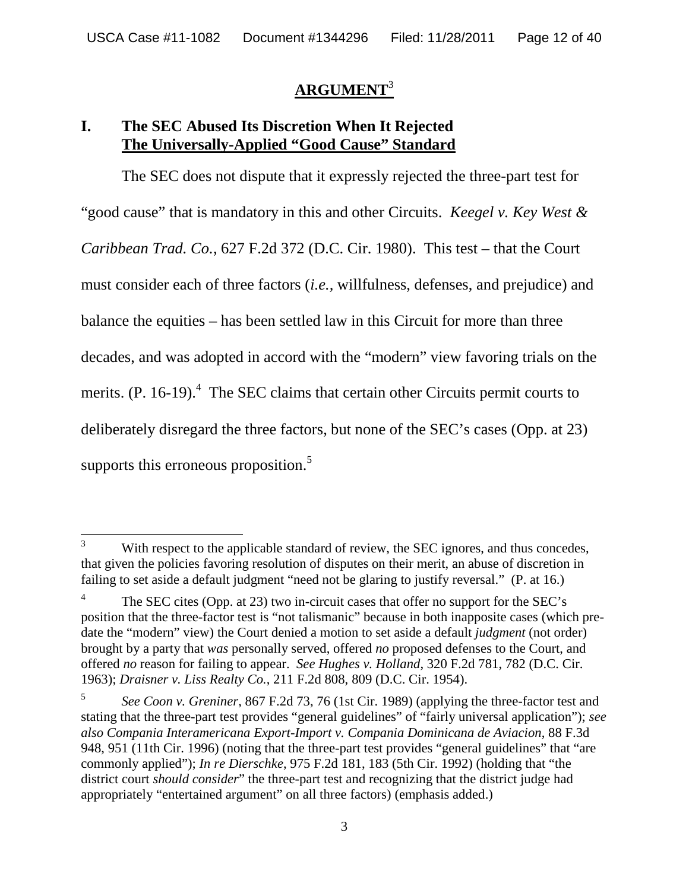#### **ARGUMENT**<sup>3</sup>

### **I. The SEC Abused Its Discretion When It Rejected The Universally-Applied "Good Cause" Standard**

The SEC does not dispute that it expressly rejected the three-part test for "good cause" that is mandatory in this and other Circuits. *Keegel v. Key West & Caribbean Trad. Co.*, 627 F.2d 372 (D.C. Cir. 1980). This test – that the Court must consider each of three factors (*i.e.,* willfulness, defenses, and prejudice) and balance the equities – has been settled law in this Circuit for more than three decades, and was adopted in accord with the "modern" view favoring trials on the merits.  $(P. 16-19)$ .<sup>4</sup> The SEC claims that certain other Circuits permit courts to deliberately disregard the three factors, but none of the SEC's cases (Opp. at 23) supports this erroneous proposition.<sup>5</sup>

<sup>&</sup>lt;sup>3</sup> With respect to the applicable standard of review, the SEC ignores, and thus concedes, that given the policies favoring resolution of disputes on their merit, an abuse of discretion in failing to set aside a default judgment "need not be glaring to justify reversal." (P. at 16.)

<sup>4</sup> The SEC cites (Opp. at 23) two in-circuit cases that offer no support for the SEC's position that the three-factor test is "not talismanic" because in both inapposite cases (which predate the "modern" view) the Court denied a motion to set aside a default *judgment* (not order) brought by a party that *was* personally served, offered *no* proposed defenses to the Court, and offered *no* reason for failing to appear. *See Hughes v. Holland*, 320 F.2d 781, 782 (D.C. Cir. 1963); *Draisner v. Liss Realty Co.*, 211 F.2d 808, 809 (D.C. Cir. 1954).

<sup>5</sup> *See Coon v. Greniner*, 867 F.2d 73, 76 (1st Cir. 1989) (applying the three-factor test and stating that the three-part test provides "general guidelines" of "fairly universal application"); *see also Compania Interamericana Export-Import v. Compania Dominicana de Aviacion*, 88 F.3d 948, 951 (11th Cir. 1996) (noting that the three-part test provides "general guidelines" that "are commonly applied"); *In re Dierschke*, 975 F.2d 181, 183 (5th Cir. 1992) (holding that "the district court *should consider*" the three-part test and recognizing that the district judge had appropriately "entertained argument" on all three factors) (emphasis added.)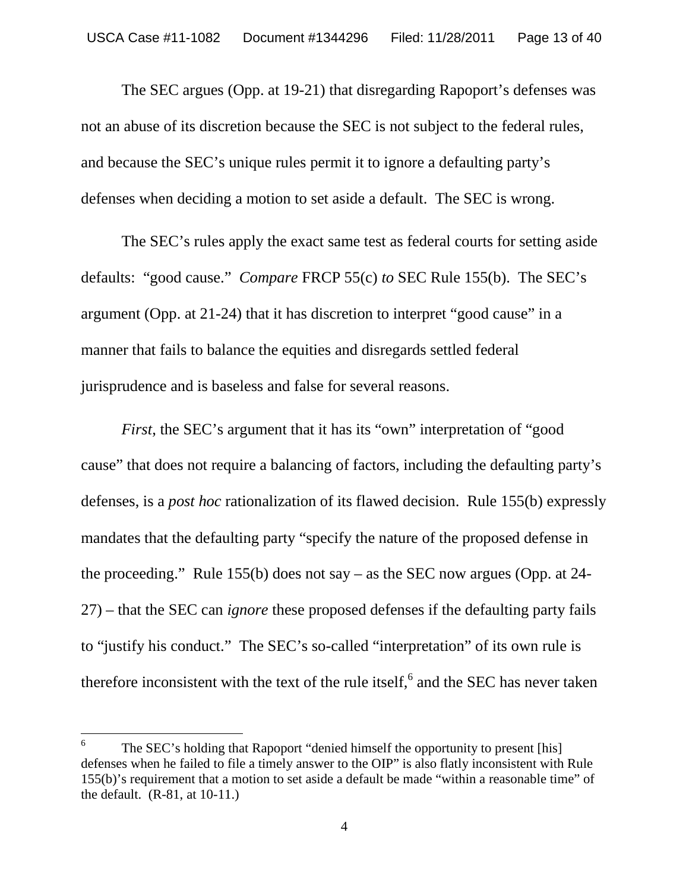The SEC argues (Opp. at 19-21) that disregarding Rapoport's defenses was not an abuse of its discretion because the SEC is not subject to the federal rules, and because the SEC's unique rules permit it to ignore a defaulting party's defenses when deciding a motion to set aside a default. The SEC is wrong.

The SEC's rules apply the exact same test as federal courts for setting aside defaults: "good cause." *Compare* FRCP 55(c) *to* SEC Rule 155(b). The SEC's argument (Opp. at 21-24) that it has discretion to interpret "good cause" in a manner that fails to balance the equities and disregards settled federal jurisprudence and is baseless and false for several reasons.

*First*, the SEC's argument that it has its "own" interpretation of "good cause" that does not require a balancing of factors, including the defaulting party's defenses, is a *post hoc* rationalization of its flawed decision. Rule 155(b) expressly mandates that the defaulting party "specify the nature of the proposed defense in the proceeding." Rule 155(b) does not say – as the SEC now argues (Opp. at 24- 27) – that the SEC can *ignore* these proposed defenses if the defaulting party fails to "justify his conduct." The SEC's so-called "interpretation" of its own rule is therefore inconsistent with the text of the rule itself,  $6$  and the SEC has never taken

<sup>6</sup> The SEC's holding that Rapoport "denied himself the opportunity to present [his] defenses when he failed to file a timely answer to the OIP" is also flatly inconsistent with Rule 155(b)'s requirement that a motion to set aside a default be made "within a reasonable time" of the default. (R-81, at 10-11.)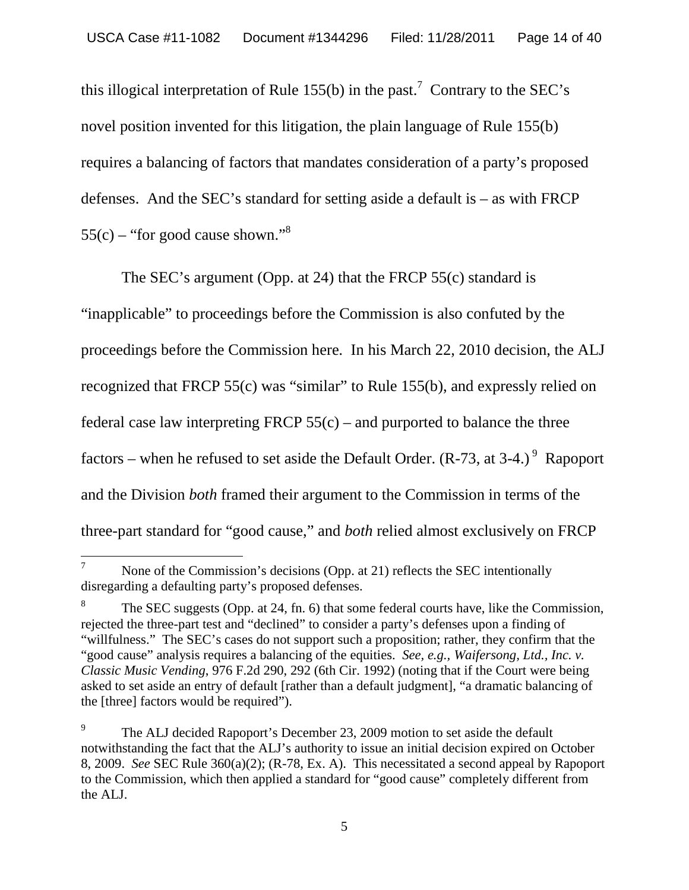this illogical interpretation of Rule 155(b) in the past.<sup>7</sup> Contrary to the SEC's novel position invented for this litigation, the plain language of Rule 155(b) requires a balancing of factors that mandates consideration of a party's proposed defenses. And the SEC's standard for setting aside a default is – as with FRCP  $55(c)$  – "for good cause shown."<sup>8</sup>

The SEC's argument (Opp. at 24) that the FRCP 55(c) standard is "inapplicable" to proceedings before the Commission is also confuted by the proceedings before the Commission here*.* In his March 22, 2010 decision, the ALJ recognized that FRCP 55(c) was "similar" to Rule 155(b), and expressly relied on federal case law interpreting FRCP  $55(c)$  – and purported to balance the three factors – when he refused to set aside the Default Order.  $(R-73, at 3-4.)^9$  Rapoport and the Division *both* framed their argument to the Commission in terms of the three-part standard for "good cause," and *both* relied almost exclusively on FRCP

<sup>&</sup>lt;sup>7</sup> None of the Commission's decisions (Opp. at 21) reflects the SEC intentionally disregarding a defaulting party's proposed defenses.

<sup>8</sup> The SEC suggests (Opp. at 24, fn. 6) that some federal courts have, like the Commission, rejected the three-part test and "declined" to consider a party's defenses upon a finding of "willfulness." The SEC's cases do not support such a proposition; rather, they confirm that the "good cause" analysis requires a balancing of the equities. *See, e.g., Waifersong, Ltd., Inc. v. Classic Music Vending*, 976 F.2d 290, 292 (6th Cir. 1992) (noting that if the Court were being asked to set aside an entry of default [rather than a default judgment], "a dramatic balancing of the [three] factors would be required").

<sup>9</sup> The ALJ decided Rapoport's December 23, 2009 motion to set aside the default notwithstanding the fact that the ALJ's authority to issue an initial decision expired on October 8, 2009. *See* SEC Rule 360(a)(2); (R-78, Ex. A). This necessitated a second appeal by Rapoport to the Commission, which then applied a standard for "good cause" completely different from the ALJ.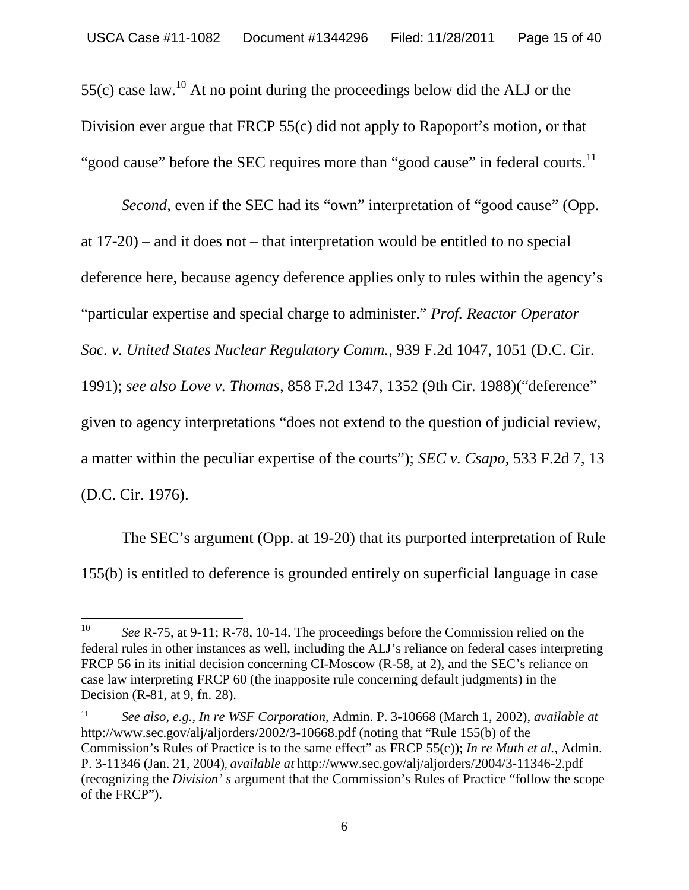55(c) case law.<sup>10</sup> At no point during the proceedings below did the ALJ or the Division ever argue that FRCP 55(c) did not apply to Rapoport's motion, or that "good cause" before the SEC requires more than "good cause" in federal courts.<sup>11</sup>

*Second*, even if the SEC had its "own" interpretation of "good cause" (Opp. at 17-20) – and it does not – that interpretation would be entitled to no special deference here, because agency deference applies only to rules within the agency's "particular expertise and special charge to administer." *Prof. Reactor Operator Soc. v. United States Nuclear Regulatory Comm.*, 939 F.2d 1047, 1051 (D.C. Cir. 1991); *see also Love v. Thomas*, 858 F.2d 1347, 1352 (9th Cir. 1988)("deference" given to agency interpretations "does not extend to the question of judicial review, a matter within the peculiar expertise of the courts"); *SEC v. Csapo*, 533 F.2d 7, 13 (D.C. Cir. 1976).

The SEC's argument (Opp. at 19-20) that its purported interpretation of Rule 155(b) is entitled to deference is grounded entirely on superficial language in case

<sup>&</sup>lt;sup>10</sup> *See* R-75, at 9-11; R-78, 10-14. The proceedings before the Commission relied on the federal rules in other instances as well, including the ALJ's reliance on federal cases interpreting FRCP 56 in its initial decision concerning CI-Moscow (R-58, at 2), and the SEC's reliance on case law interpreting FRCP 60 (the inapposite rule concerning default judgments) in the Decision (R-81, at 9, fn. 28).

<sup>11</sup> *See also, e.g., In re WSF Corporation*, Admin. P. 3-10668 (March 1, 2002), *available at* http://www.sec.gov/alj/aljorders/2002/3-10668.pdf (noting that "Rule 155(b) of the Commission's Rules of Practice is to the same effect" as FRCP 55(c)); *In re Muth et al.*, Admin. P. 3-11346 (Jan. 21, 2004), *available at* http://www.sec.gov/alj/aljorders/2004/3-11346-2.pdf (recognizing the *Division' s* argument that the Commission's Rules of Practice "follow the scope of the FRCP").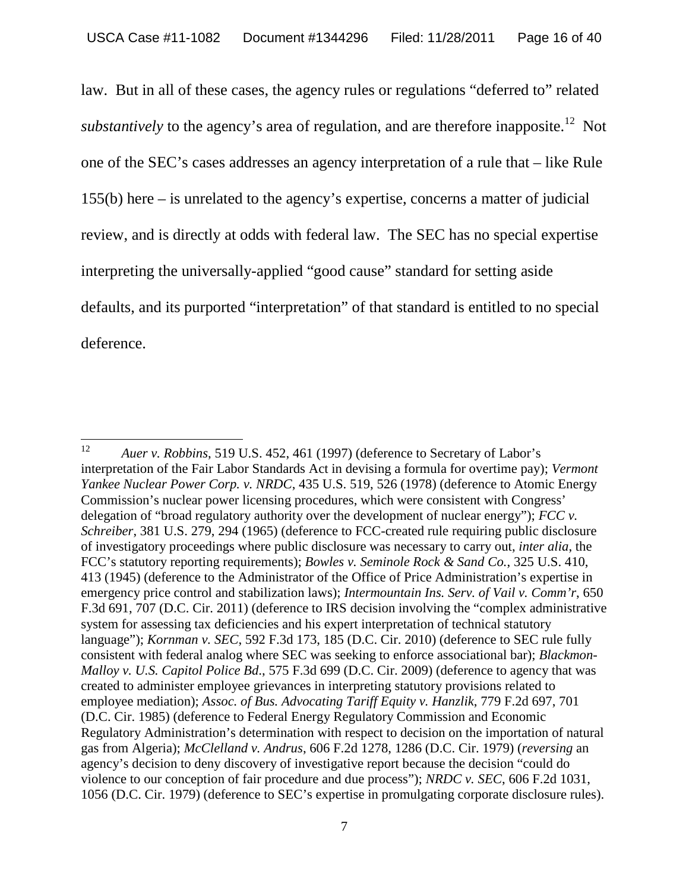law. But in all of these cases, the agency rules or regulations "deferred to" related *substantively* to the agency's area of regulation, and are therefore inapposite.<sup>12</sup> Not one of the SEC's cases addresses an agency interpretation of a rule that – like Rule 155(b) here – is unrelated to the agency's expertise, concerns a matter of judicial review, and is directly at odds with federal law. The SEC has no special expertise interpreting the universally-applied "good cause" standard for setting aside defaults, and its purported "interpretation" of that standard is entitled to no special deference.

<sup>12</sup> *Auer v. Robbins*, 519 U.S. 452, 461 (1997) (deference to Secretary of Labor's interpretation of the Fair Labor Standards Act in devising a formula for overtime pay); *Vermont Yankee Nuclear Power Corp. v. NRDC*, 435 U.S. 519, 526 (1978) (deference to Atomic Energy Commission's nuclear power licensing procedures, which were consistent with Congress' delegation of "broad regulatory authority over the development of nuclear energy"); *FCC v. Schreiber*, 381 U.S. 279, 294 (1965) (deference to FCC-created rule requiring public disclosure of investigatory proceedings where public disclosure was necessary to carry out, *inter alia*, the FCC's statutory reporting requirements); *Bowles v. Seminole Rock & Sand Co.*, 325 U.S. 410, 413 (1945) (deference to the Administrator of the Office of Price Administration's expertise in emergency price control and stabilization laws); *Intermountain Ins. Serv. of Vail v. Comm'r*, 650 F.3d 691, 707 (D.C. Cir. 2011) (deference to IRS decision involving the "complex administrative system for assessing tax deficiencies and his expert interpretation of technical statutory language"); *Kornman v. SEC*, 592 F.3d 173, 185 (D.C. Cir. 2010) (deference to SEC rule fully consistent with federal analog where SEC was seeking to enforce associational bar); *Blackmon-Malloy v. U.S. Capitol Police Bd*., 575 F.3d 699 (D.C. Cir. 2009) (deference to agency that was created to administer employee grievances in interpreting statutory provisions related to employee mediation); *Assoc. of Bus. Advocating Tariff Equity v. Hanzlik*, 779 F.2d 697, 701 (D.C. Cir. 1985) (deference to Federal Energy Regulatory Commission and Economic Regulatory Administration's determination with respect to decision on the importation of natural gas from Algeria); *McClelland v. Andrus*, 606 F.2d 1278, 1286 (D.C. Cir. 1979) (*reversing* an agency's decision to deny discovery of investigative report because the decision "could do violence to our conception of fair procedure and due process"); *NRDC v. SEC*, 606 F.2d 1031, 1056 (D.C. Cir. 1979) (deference to SEC's expertise in promulgating corporate disclosure rules).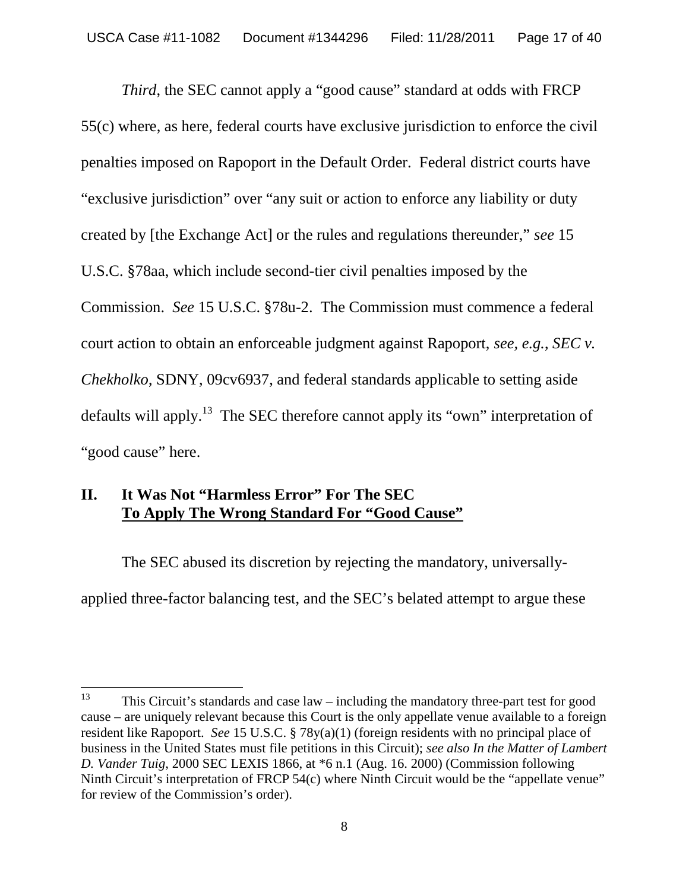*Third*, the SEC cannot apply a "good cause" standard at odds with FRCP 55(c) where, as here, federal courts have exclusive jurisdiction to enforce the civil penalties imposed on Rapoport in the Default Order. Federal district courts have "exclusive jurisdiction" over "any suit or action to enforce any liability or duty created by [the Exchange Act] or the rules and regulations thereunder," *see* 15 U.S.C. §78aa, which include second-tier civil penalties imposed by the Commission. *See* 15 U.S.C. §78u-2. The Commission must commence a federal court action to obtain an enforceable judgment against Rapoport, *see, e.g.*, *SEC v. Chekholko*, SDNY, 09cv6937, and federal standards applicable to setting aside defaults will apply.<sup>13</sup> The SEC therefore cannot apply its "own" interpretation of "good cause" here.

#### **II. It Was Not "Harmless Error" For The SEC To Apply The Wrong Standard For "Good Cause"**

The SEC abused its discretion by rejecting the mandatory, universallyapplied three-factor balancing test, and the SEC's belated attempt to argue these

<sup>&</sup>lt;sup>13</sup> This Circuit's standards and case  $law$  – including the mandatory three-part test for good cause – are uniquely relevant because this Court is the only appellate venue available to a foreign resident like Rapoport. *See* 15 U.S.C. § 78y(a)(1) (foreign residents with no principal place of business in the United States must file petitions in this Circuit); *see also In the Matter of Lambert D. Vander Tuig*, 2000 SEC LEXIS 1866, at \*6 n.1 (Aug. 16. 2000) (Commission following Ninth Circuit's interpretation of FRCP 54(c) where Ninth Circuit would be the "appellate venue" for review of the Commission's order).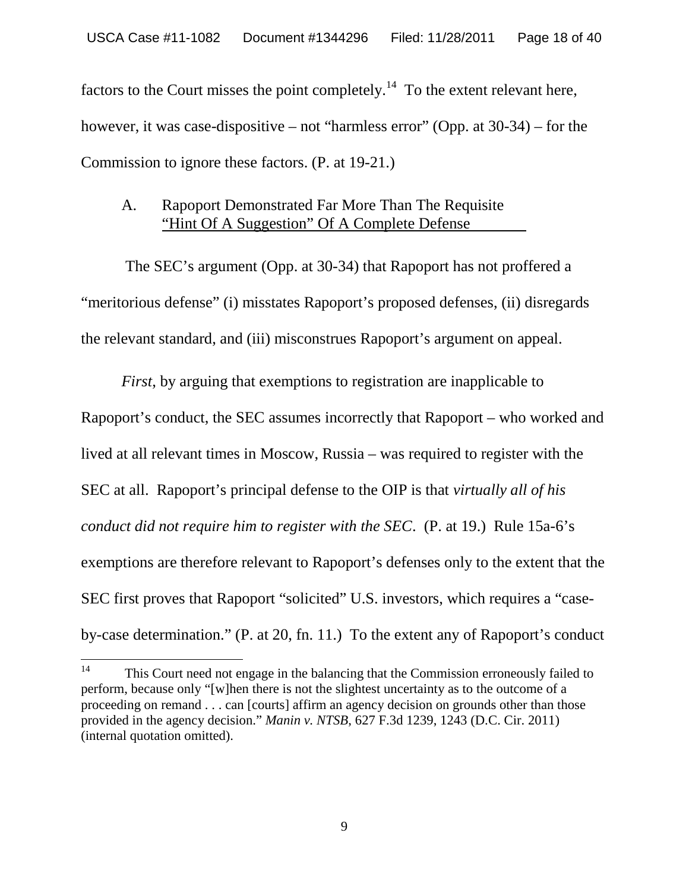factors to the Court misses the point completely.<sup>14</sup> To the extent relevant here, however, it was case-dispositive – not "harmless error" (Opp. at 30-34) – for the Commission to ignore these factors. (P. at 19-21.)

#### A. Rapoport Demonstrated Far More Than The Requisite "Hint Of A Suggestion" Of A Complete Defense

The SEC's argument (Opp. at 30-34) that Rapoport has not proffered a "meritorious defense" (i) misstates Rapoport's proposed defenses, (ii) disregards the relevant standard, and (iii) misconstrues Rapoport's argument on appeal.

*First*, by arguing that exemptions to registration are inapplicable to Rapoport's conduct, the SEC assumes incorrectly that Rapoport – who worked and lived at all relevant times in Moscow, Russia – was required to register with the SEC at all. Rapoport's principal defense to the OIP is that *virtually all of his conduct did not require him to register with the SEC*. (P. at 19.) Rule 15a-6's exemptions are therefore relevant to Rapoport's defenses only to the extent that the SEC first proves that Rapoport "solicited" U.S. investors, which requires a "caseby-case determination." (P. at 20, fn. 11.) To the extent any of Rapoport's conduct

<sup>&</sup>lt;sup>14</sup> This Court need not engage in the balancing that the Commission erroneously failed to perform, because only "[w]hen there is not the slightest uncertainty as to the outcome of a proceeding on remand . . . can [courts] affirm an agency decision on grounds other than those provided in the agency decision." *Manin v. NTSB*, 627 F.3d 1239, 1243 (D.C. Cir. 2011) (internal quotation omitted).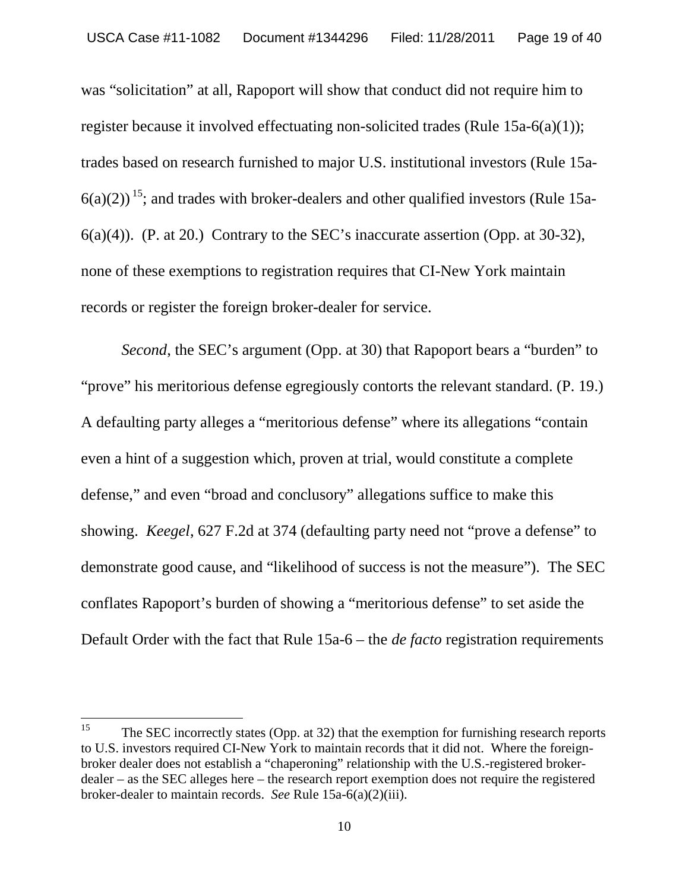was "solicitation" at all, Rapoport will show that conduct did not require him to register because it involved effectuating non-solicited trades (Rule 15a-6(a)(1)); trades based on research furnished to major U.S. institutional investors (Rule 15a- $6(a)(2)$ <sup>15</sup>; and trades with broker-dealers and other qualified investors (Rule 15a-6(a)(4)). (P. at 20.) Contrary to the SEC's inaccurate assertion (Opp. at 30-32), none of these exemptions to registration requires that CI-New York maintain records or register the foreign broker-dealer for service.

*Second*, the SEC's argument (Opp. at 30) that Rapoport bears a "burden" to "prove" his meritorious defense egregiously contorts the relevant standard. (P. 19.) A defaulting party alleges a "meritorious defense" where its allegations "contain even a hint of a suggestion which, proven at trial, would constitute a complete defense," and even "broad and conclusory" allegations suffice to make this showing. *Keegel*, 627 F.2d at 374 (defaulting party need not "prove a defense" to demonstrate good cause, and "likelihood of success is not the measure"). The SEC conflates Rapoport's burden of showing a "meritorious defense" to set aside the Default Order with the fact that Rule 15a-6 – the *de facto* registration requirements

<sup>&</sup>lt;sup>15</sup> The SEC incorrectly states (Opp. at 32) that the exemption for furnishing research reports to U.S. investors required CI-New York to maintain records that it did not. Where the foreignbroker dealer does not establish a "chaperoning" relationship with the U.S.-registered brokerdealer – as the SEC alleges here – the research report exemption does not require the registered broker-dealer to maintain records. *See* Rule 15a-6(a)(2)(iii).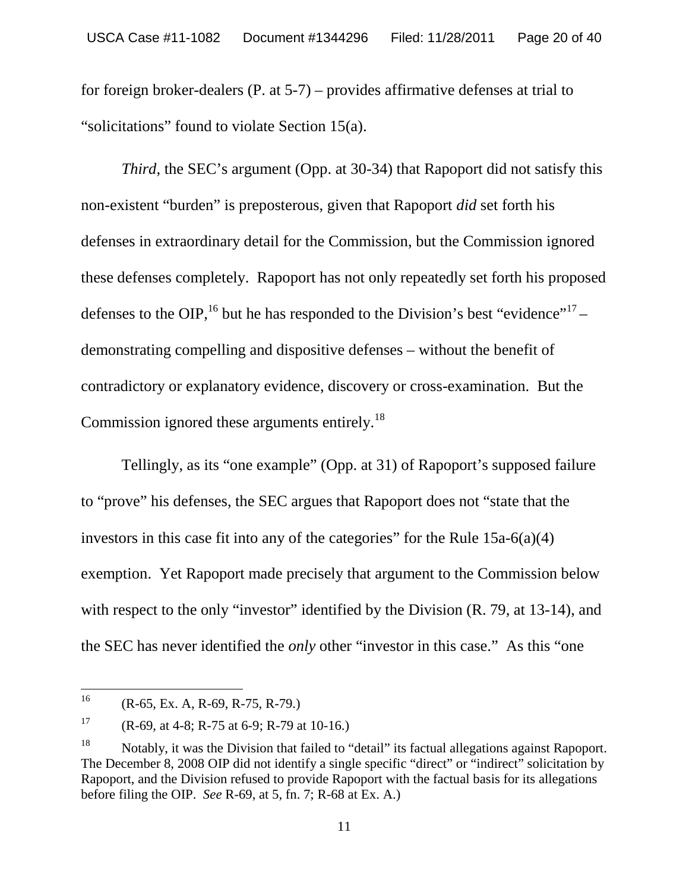for foreign broker-dealers (P. at 5-7) – provides affirmative defenses at trial to "solicitations" found to violate Section 15(a).

*Third*, the SEC's argument (Opp. at 30-34) that Rapoport did not satisfy this non-existent "burden" is preposterous, given that Rapoport *did* set forth his defenses in extraordinary detail for the Commission, but the Commission ignored these defenses completely. Rapoport has not only repeatedly set forth his proposed defenses to the OIP, <sup>16</sup> but he has responded to the Division's best "evidence"<sup>17</sup> – demonstrating compelling and dispositive defenses – without the benefit of contradictory or explanatory evidence, discovery or cross-examination. But the Commission ignored these arguments entirely.<sup>18</sup>

Tellingly, as its "one example" (Opp. at 31) of Rapoport's supposed failure to "prove" his defenses, the SEC argues that Rapoport does not "state that the investors in this case fit into any of the categories" for the Rule 15a-6(a)(4) exemption. Yet Rapoport made precisely that argument to the Commission below with respect to the only "investor" identified by the Division (R. 79, at 13-14), and the SEC has never identified the *only* other "investor in this case." As this "one

<sup>&</sup>lt;sup>16</sup> (R-65, Ex. A, R-69, R-75, R-79.)

<sup>&</sup>lt;sup>17</sup> (R-69, at 4-8; R-75 at 6-9; R-79 at 10-16.)

<sup>&</sup>lt;sup>18</sup> Notably, it was the Division that failed to "detail" its factual allegations against Rapoport. The December 8, 2008 OIP did not identify a single specific "direct" or "indirect" solicitation by Rapoport, and the Division refused to provide Rapoport with the factual basis for its allegations before filing the OIP. *See* R-69, at 5, fn. 7; R-68 at Ex. A.)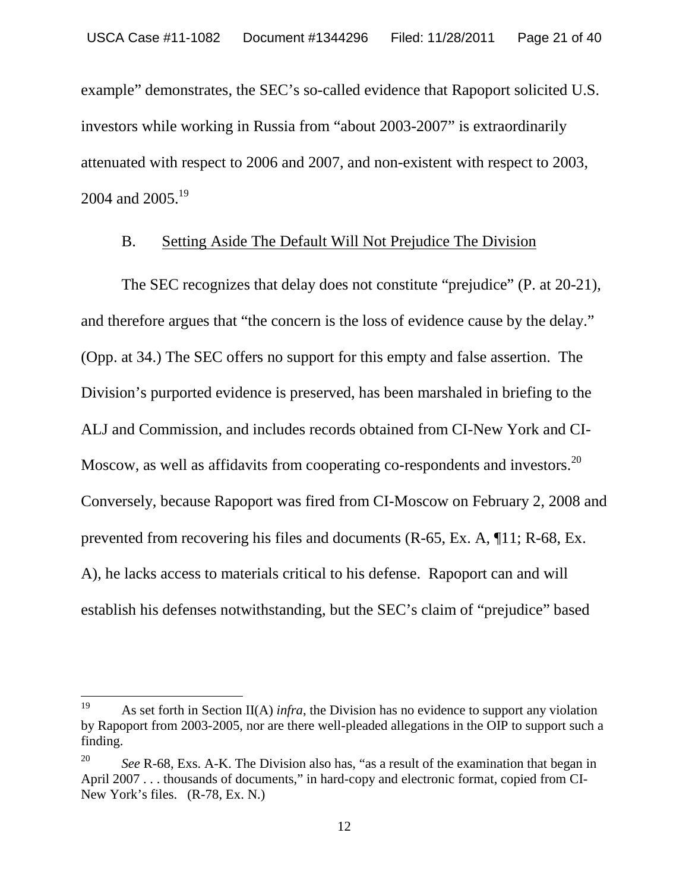example" demonstrates, the SEC's so-called evidence that Rapoport solicited U.S. investors while working in Russia from "about 2003-2007" is extraordinarily attenuated with respect to 2006 and 2007, and non-existent with respect to 2003, 2004 and 2005.<sup>19</sup>

#### B. Setting Aside The Default Will Not Prejudice The Division

The SEC recognizes that delay does not constitute "prejudice" (P. at 20-21), and therefore argues that "the concern is the loss of evidence cause by the delay." (Opp. at 34.) The SEC offers no support for this empty and false assertion. The Division's purported evidence is preserved, has been marshaled in briefing to the ALJ and Commission, and includes records obtained from CI-New York and CI-Moscow, as well as affidavits from cooperating co-respondents and investors.<sup>20</sup> Conversely, because Rapoport was fired from CI-Moscow on February 2, 2008 and prevented from recovering his files and documents (R-65, Ex. A, ¶11; R-68, Ex. A), he lacks access to materials critical to his defense. Rapoport can and will establish his defenses notwithstanding, but the SEC's claim of "prejudice" based

<sup>19</sup> As set forth in Section II(A) *infra*, the Division has no evidence to support any violation by Rapoport from 2003-2005, nor are there well-pleaded allegations in the OIP to support such a finding.

*See* R-68, Exs. A-K. The Division also has, "as a result of the examination that began in April 2007 . . . thousands of documents," in hard-copy and electronic format, copied from CI-New York's files. (R-78, Ex. N.)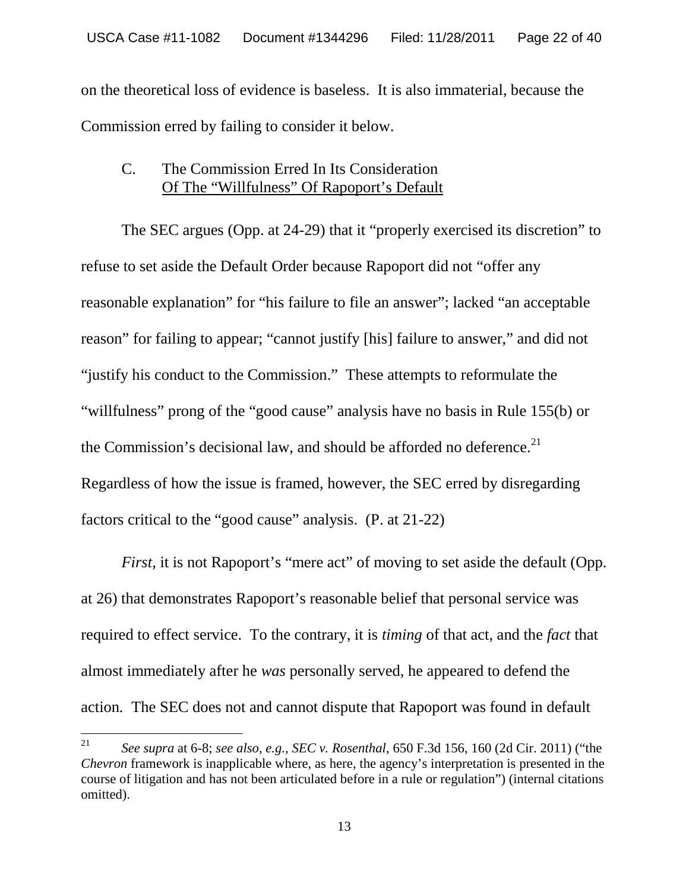on the theoretical loss of evidence is baseless. It is also immaterial, because the Commission erred by failing to consider it below.

#### C. The Commission Erred In Its Consideration Of The "Willfulness" Of Rapoport's Default

The SEC argues (Opp. at 24-29) that it "properly exercised its discretion" to refuse to set aside the Default Order because Rapoport did not "offer any reasonable explanation" for "his failure to file an answer"; lacked "an acceptable reason" for failing to appear; "cannot justify [his] failure to answer," and did not "justify his conduct to the Commission." These attempts to reformulate the "willfulness" prong of the "good cause" analysis have no basis in Rule 155(b) or the Commission's decisional law, and should be afforded no deference. $21$ Regardless of how the issue is framed, however, the SEC erred by disregarding factors critical to the "good cause" analysis. (P. at 21-22)

*First*, it is not Rapoport's "mere act" of moving to set aside the default (Opp. at 26) that demonstrates Rapoport's reasonable belief that personal service was required to effect service. To the contrary, it is *timing* of that act, and the *fact* that almost immediately after he *was* personally served, he appeared to defend the action*.* The SEC does not and cannot dispute that Rapoport was found in default

<sup>21</sup> *See supra* at 6-8; *see also, e.g., SEC v. Rosenthal*, 650 F.3d 156, 160 (2d Cir. 2011) ("the *Chevron* framework is inapplicable where, as here, the agency's interpretation is presented in the course of litigation and has not been articulated before in a rule or regulation") (internal citations omitted).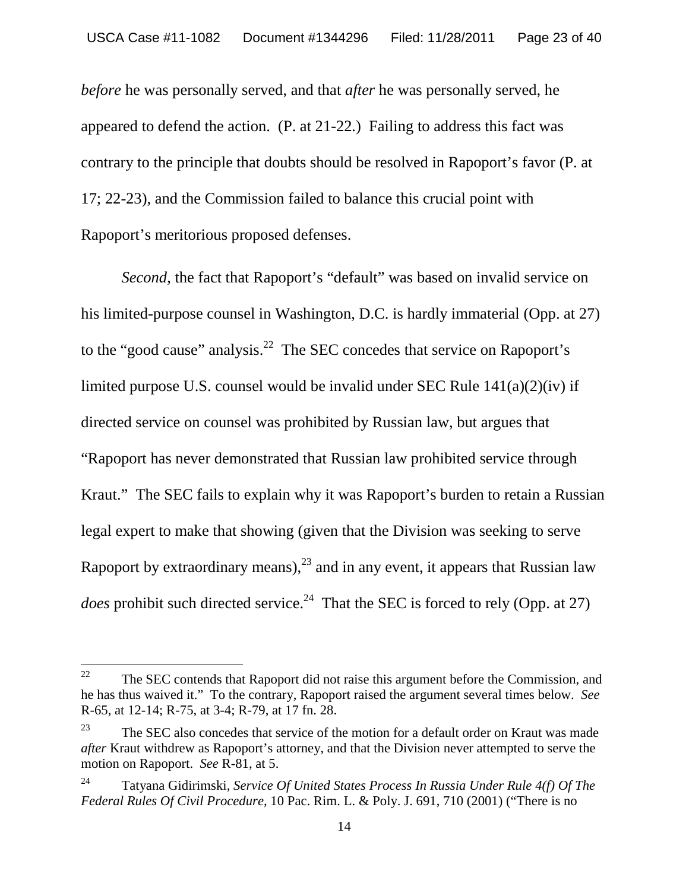*before* he was personally served, and that *after* he was personally served, he appeared to defend the action. (P. at 21-22.) Failing to address this fact was contrary to the principle that doubts should be resolved in Rapoport's favor (P. at 17; 22-23), and the Commission failed to balance this crucial point with Rapoport's meritorious proposed defenses.

*Second*, the fact that Rapoport's "default" was based on invalid service on his limited-purpose counsel in Washington, D.C. is hardly immaterial (Opp. at 27) to the "good cause" analysis.<sup>22</sup> The SEC concedes that service on Rapoport's limited purpose U.S. counsel would be invalid under SEC Rule 141(a)(2)(iv) if directed service on counsel was prohibited by Russian law, but argues that "Rapoport has never demonstrated that Russian law prohibited service through Kraut." The SEC fails to explain why it was Rapoport's burden to retain a Russian legal expert to make that showing (given that the Division was seeking to serve Rapoport by extraordinary means),<sup>23</sup> and in any event, it appears that Russian law *does* prohibit such directed service.<sup>24</sup> That the SEC is forced to rely (Opp. at 27)

<sup>&</sup>lt;sup>22</sup> The SEC contends that Rapoport did not raise this argument before the Commission, and he has thus waived it." To the contrary, Rapoport raised the argument several times below. *See* R-65, at 12-14; R-75, at 3-4; R-79, at 17 fn. 28.

 $23$  The SEC also concedes that service of the motion for a default order on Kraut was made *after* Kraut withdrew as Rapoport's attorney, and that the Division never attempted to serve the motion on Rapoport. *See* R-81, at 5.

<sup>24</sup> Tatyana Gidirimski, *Service Of United States Process In Russia Under Rule 4(f) Of The Federal Rules Of Civil Procedure*, 10 Pac. Rim. L. & Poly. J. 691, 710 (2001) ("There is no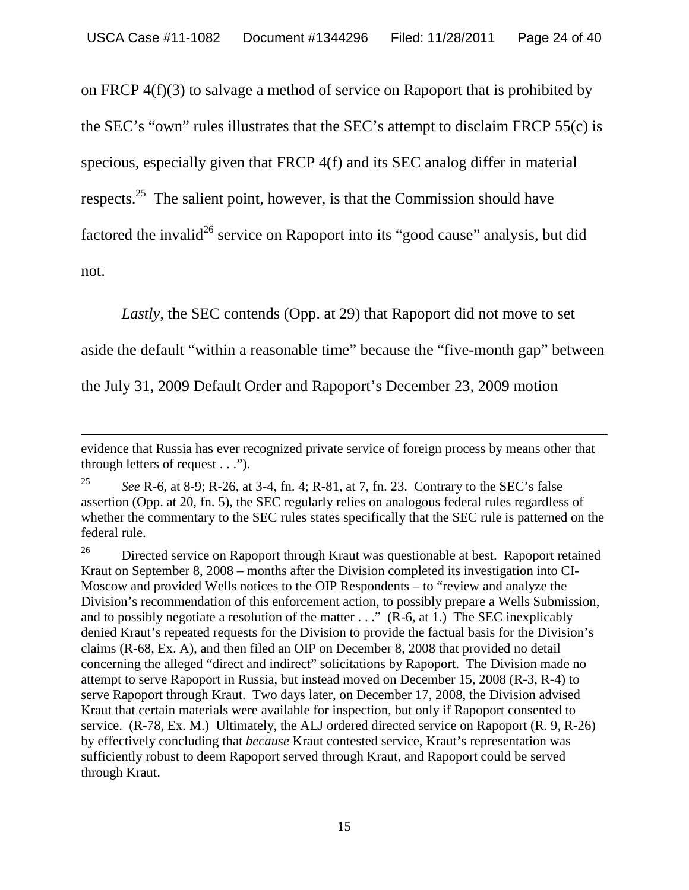on FRCP 4(f)(3) to salvage a method of service on Rapoport that is prohibited by the SEC's "own" rules illustrates that the SEC's attempt to disclaim FRCP 55(c) is specious, especially given that FRCP 4(f) and its SEC analog differ in material respects.<sup>25</sup> The salient point, however, is that the Commission should have factored the invalid<sup>26</sup> service on Rapoport into its "good cause" analysis, but did not.

*Lastly*, the SEC contends (Opp. at 29) that Rapoport did not move to set

aside the default "within a reasonable time" because the "five-month gap" between

the July 31, 2009 Default Order and Rapoport's December 23, 2009 motion

evidence that Russia has ever recognized private service of foreign process by means other that through letters of request . . .").

<sup>25</sup> *See* R-6, at 8-9; R-26, at 3-4, fn. 4; R-81, at 7, fn. 23. Contrary to the SEC's false assertion (Opp. at 20, fn. 5), the SEC regularly relies on analogous federal rules regardless of whether the commentary to the SEC rules states specifically that the SEC rule is patterned on the federal rule.

 $26$  Directed service on Rapoport through Kraut was questionable at best. Rapoport retained Kraut on September 8, 2008 – months after the Division completed its investigation into CI-Moscow and provided Wells notices to the OIP Respondents – to "review and analyze the Division's recommendation of this enforcement action, to possibly prepare a Wells Submission, and to possibly negotiate a resolution of the matter . . ." (R-6, at 1.) The SEC inexplicably denied Kraut's repeated requests for the Division to provide the factual basis for the Division's claims (R-68, Ex. A), and then filed an OIP on December 8, 2008 that provided no detail concerning the alleged "direct and indirect" solicitations by Rapoport. The Division made no attempt to serve Rapoport in Russia, but instead moved on December 15, 2008 (R-3, R-4) to serve Rapoport through Kraut. Two days later, on December 17, 2008, the Division advised Kraut that certain materials were available for inspection, but only if Rapoport consented to service. (R-78, Ex. M.) Ultimately, the ALJ ordered directed service on Rapoport (R. 9, R-26) by effectively concluding that *because* Kraut contested service, Kraut's representation was sufficiently robust to deem Rapoport served through Kraut, and Rapoport could be served through Kraut.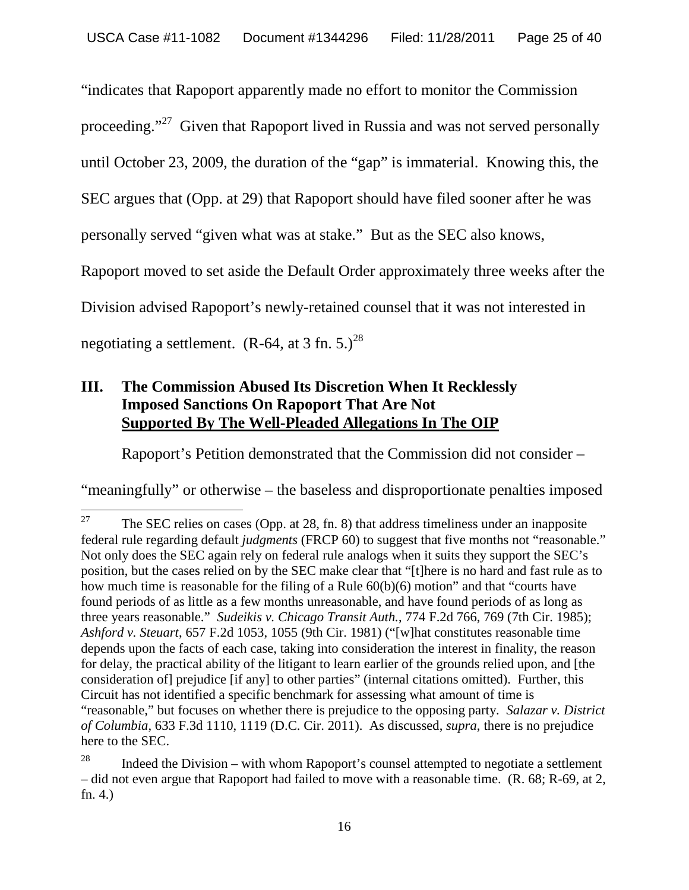"indicates that Rapoport apparently made no effort to monitor the Commission proceeding."<sup>27</sup> Given that Rapoport lived in Russia and was not served personally until October 23, 2009, the duration of the "gap" is immaterial. Knowing this, the SEC argues that (Opp. at 29) that Rapoport should have filed sooner after he was personally served "given what was at stake." But as the SEC also knows, Rapoport moved to set aside the Default Order approximately three weeks after the Division advised Rapoport's newly-retained counsel that it was not interested in negotiating a settlement.  $(R-64, at 3 fm, 5.)^{28}$ 

## **III. The Commission Abused Its Discretion When It Recklessly Imposed Sanctions On Rapoport That Are Not Supported By The Well-Pleaded Allegations In The OIP**

Rapoport's Petition demonstrated that the Commission did not consider –

"meaningfully" or otherwise – the baseless and disproportionate penalties imposed

<sup>&</sup>lt;sup>27</sup> The SEC relies on cases (Opp. at 28, fn. 8) that address timeliness under an inapposite federal rule regarding default *judgments* (FRCP 60) to suggest that five months not "reasonable." Not only does the SEC again rely on federal rule analogs when it suits they support the SEC's position, but the cases relied on by the SEC make clear that "[t]here is no hard and fast rule as to how much time is reasonable for the filing of a Rule 60(b)(6) motion" and that "courts have found periods of as little as a few months unreasonable, and have found periods of as long as three years reasonable." *Sudeikis v. Chicago Transit Auth.*, 774 F.2d 766, 769 (7th Cir. 1985); *Ashford v. Steuart*, 657 F.2d 1053, 1055 (9th Cir. 1981) ("[w]hat constitutes reasonable time depends upon the facts of each case, taking into consideration the interest in finality, the reason for delay, the practical ability of the litigant to learn earlier of the grounds relied upon, and [the consideration of] prejudice [if any] to other parties" (internal citations omitted). Further, this Circuit has not identified a specific benchmark for assessing what amount of time is "reasonable," but focuses on whether there is prejudice to the opposing party. *Salazar v. District of Columbia*, 633 F.3d 1110, 1119 (D.C. Cir. 2011). As discussed, *supra*, there is no prejudice here to the SEC.

Indeed the Division – with whom Rapoport's counsel attempted to negotiate a settlement – did not even argue that Rapoport had failed to move with a reasonable time. (R. 68; R-69, at 2, fn. 4.)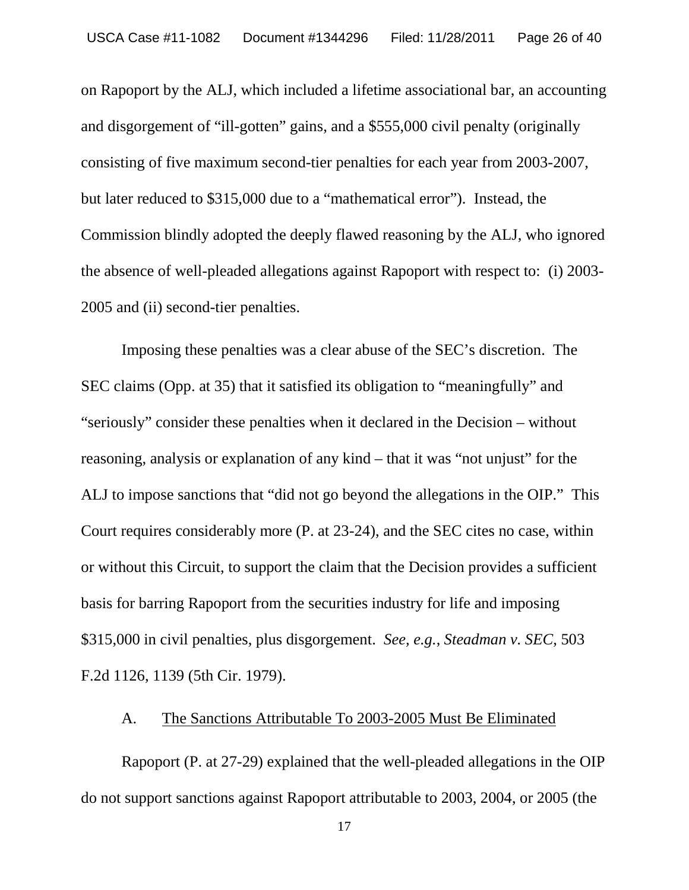on Rapoport by the ALJ, which included a lifetime associational bar, an accounting and disgorgement of "ill-gotten" gains, and a \$555,000 civil penalty (originally consisting of five maximum second-tier penalties for each year from 2003-2007, but later reduced to \$315,000 due to a "mathematical error"). Instead, the Commission blindly adopted the deeply flawed reasoning by the ALJ, who ignored the absence of well-pleaded allegations against Rapoport with respect to: (i) 2003- 2005 and (ii) second-tier penalties.

Imposing these penalties was a clear abuse of the SEC's discretion. The SEC claims (Opp. at 35) that it satisfied its obligation to "meaningfully" and "seriously" consider these penalties when it declared in the Decision – without reasoning, analysis or explanation of any kind – that it was "not unjust" for the ALJ to impose sanctions that "did not go beyond the allegations in the OIP." This Court requires considerably more (P. at 23-24), and the SEC cites no case, within or without this Circuit, to support the claim that the Decision provides a sufficient basis for barring Rapoport from the securities industry for life and imposing \$315,000 in civil penalties, plus disgorgement. *See, e.g.*, *Steadman v. SEC*, 503 F.2d 1126, 1139 (5th Cir. 1979).

#### A. The Sanctions Attributable To 2003-2005 Must Be Eliminated

Rapoport (P. at 27-29) explained that the well-pleaded allegations in the OIP do not support sanctions against Rapoport attributable to 2003, 2004, or 2005 (the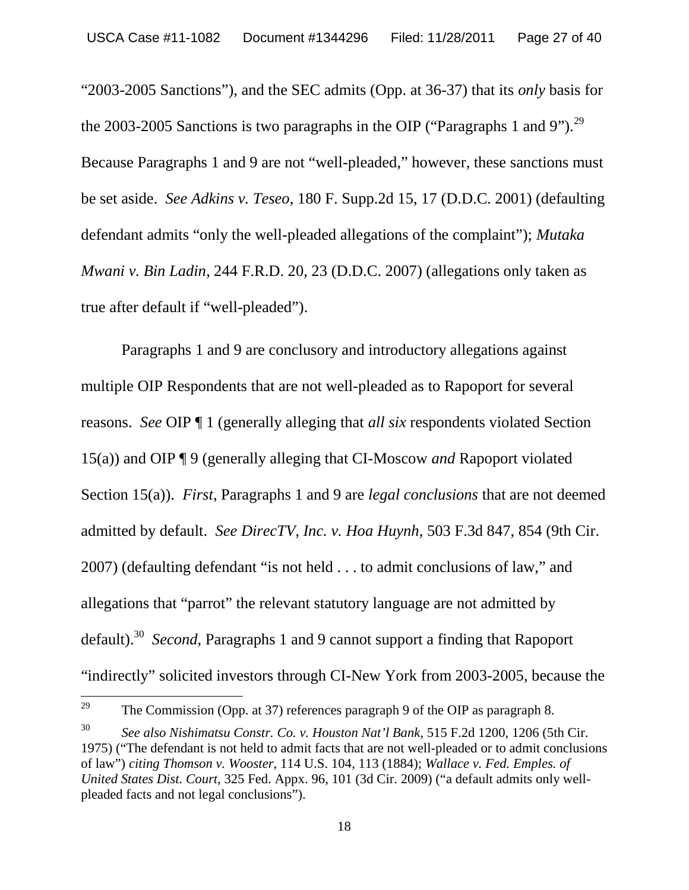"2003-2005 Sanctions"), and the SEC admits (Opp. at 36-37) that its *only* basis for the 2003-2005 Sanctions is two paragraphs in the OIP ("Paragraphs 1 and 9").<sup>29</sup> Because Paragraphs 1 and 9 are not "well-pleaded," however, these sanctions must be set aside. *See Adkins v. Teseo*, 180 F. Supp.2d 15, 17 (D.D.C. 2001) (defaulting defendant admits "only the well-pleaded allegations of the complaint"); *Mutaka Mwani v. Bin Ladin*, 244 F.R.D. 20, 23 (D.D.C. 2007) (allegations only taken as true after default if "well-pleaded").

Paragraphs 1 and 9 are conclusory and introductory allegations against multiple OIP Respondents that are not well-pleaded as to Rapoport for several reasons. *See* OIP ¶ 1 (generally alleging that *all six* respondents violated Section 15(a)) and OIP ¶ 9 (generally alleging that CI-Moscow *and* Rapoport violated Section 15(a)). *First*, Paragraphs 1 and 9 are *legal conclusions* that are not deemed admitted by default. *See DirecTV, Inc. v. Hoa Huynh*, 503 F.3d 847, 854 (9th Cir. 2007) (defaulting defendant "is not held . . . to admit conclusions of law," and allegations that "parrot" the relevant statutory language are not admitted by default).<sup>30</sup> *Second*, Paragraphs 1 and 9 cannot support a finding that Rapoport "indirectly" solicited investors through CI-New York from 2003-2005, because the

<sup>&</sup>lt;sup>29</sup> The Commission (Opp. at 37) references paragraph 9 of the OIP as paragraph 8.

<sup>30</sup> *See also Nishimatsu Constr. Co. v. Houston Nat'l Bank*, 515 F.2d 1200, 1206 (5th Cir. 1975) ("The defendant is not held to admit facts that are not well-pleaded or to admit conclusions of law") *citing Thomson v. Wooster*, 114 U.S. 104, 113 (1884); *Wallace v. Fed. Emples. of United States Dist. Court*, 325 Fed. Appx. 96, 101 (3d Cir. 2009) ("a default admits only wellpleaded facts and not legal conclusions").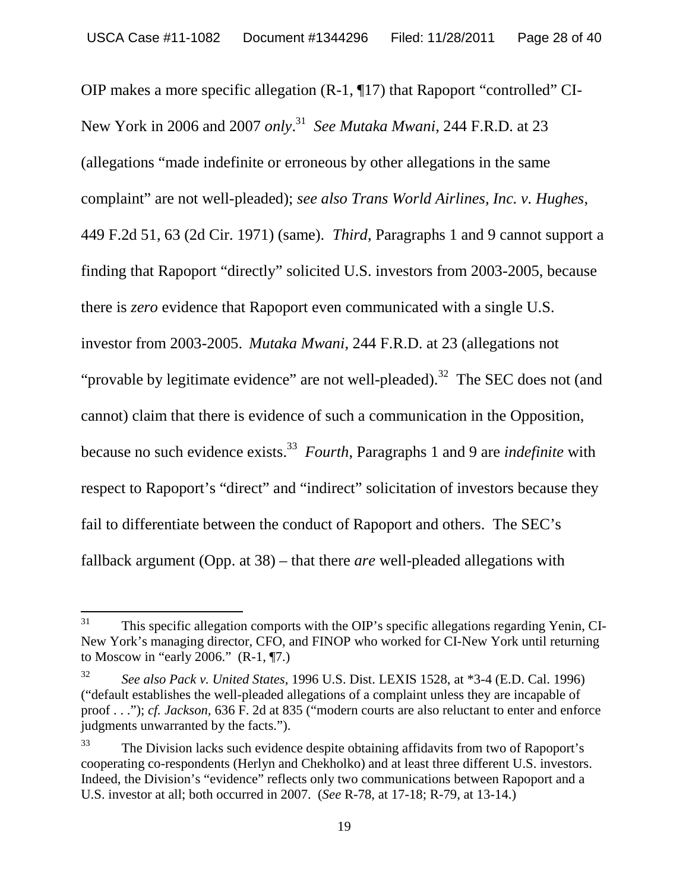OIP makes a more specific allegation (R-1, ¶17) that Rapoport "controlled" CI-New York in 2006 and 2007 *only*. <sup>31</sup> *See Mutaka Mwani*, 244 F.R.D. at 23 (allegations "made indefinite or erroneous by other allegations in the same complaint" are not well-pleaded); *see also Trans World Airlines, Inc. v. Hughes*, 449 F.2d 51, 63 (2d Cir. 1971) (same). *Third,* Paragraphs 1 and 9 cannot support a finding that Rapoport "directly" solicited U.S. investors from 2003-2005, because there is *zero* evidence that Rapoport even communicated with a single U.S. investor from 2003-2005. *Mutaka Mwani*, 244 F.R.D. at 23 (allegations not "provable by legitimate evidence" are not well-pleaded).<sup>32</sup> The SEC does not (and cannot) claim that there is evidence of such a communication in the Opposition, because no such evidence exists.<sup>33</sup> *Fourth*, Paragraphs 1 and 9 are *indefinite* with respect to Rapoport's "direct" and "indirect" solicitation of investors because they fail to differentiate between the conduct of Rapoport and others. The SEC's fallback argument (Opp. at 38) – that there *are* well-pleaded allegations with

 $31$  This specific allegation comports with the OIP's specific allegations regarding Yenin, CI-New York's managing director, CFO, and FINOP who worked for CI-New York until returning to Moscow in "early 2006." (R-1, ¶7.)

<sup>32</sup> *See also Pack v. United States*, 1996 U.S. Dist. LEXIS 1528, at \*3-4 (E.D. Cal. 1996) ("default establishes the well-pleaded allegations of a complaint unless they are incapable of proof . . ."); *cf. Jackson,* 636 F. 2d at 835 ("modern courts are also reluctant to enter and enforce judgments unwarranted by the facts.").

<sup>&</sup>lt;sup>33</sup> The Division lacks such evidence despite obtaining affidavits from two of Rapoport's cooperating co-respondents (Herlyn and Chekholko) and at least three different U.S. investors. Indeed, the Division's "evidence" reflects only two communications between Rapoport and a U.S. investor at all; both occurred in 2007. (*See* R-78, at 17-18; R-79, at 13-14.)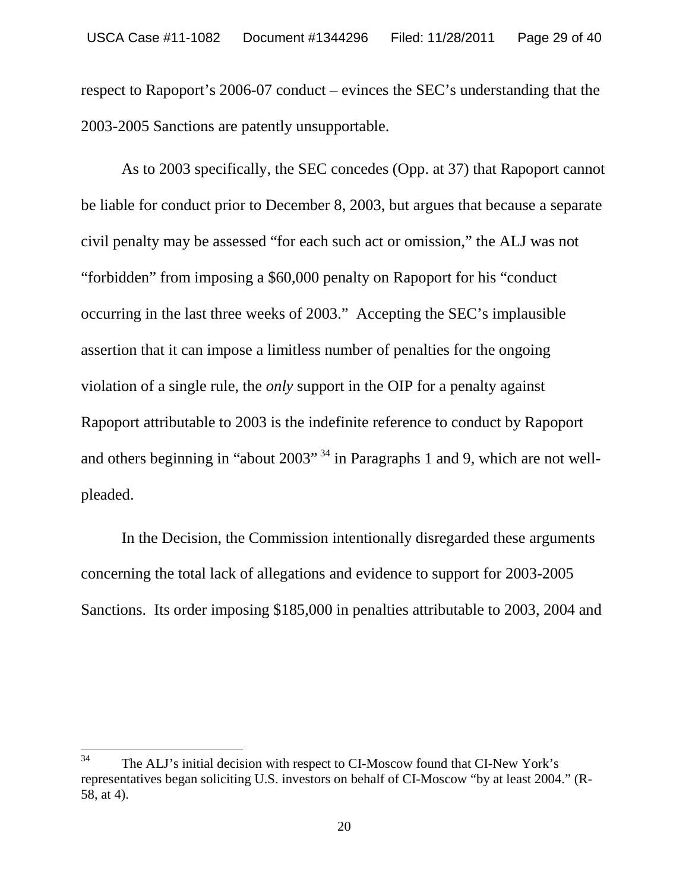respect to Rapoport's 2006-07 conduct – evinces the SEC's understanding that the 2003-2005 Sanctions are patently unsupportable.

As to 2003 specifically, the SEC concedes (Opp. at 37) that Rapoport cannot be liable for conduct prior to December 8, 2003, but argues that because a separate civil penalty may be assessed "for each such act or omission," the ALJ was not "forbidden" from imposing a \$60,000 penalty on Rapoport for his "conduct occurring in the last three weeks of 2003." Accepting the SEC's implausible assertion that it can impose a limitless number of penalties for the ongoing violation of a single rule, the *only* support in the OIP for a penalty against Rapoport attributable to 2003 is the indefinite reference to conduct by Rapoport and others beginning in "about 2003"<sup>34</sup> in Paragraphs 1 and 9, which are not wellpleaded.

In the Decision, the Commission intentionally disregarded these arguments concerning the total lack of allegations and evidence to support for 2003-2005 Sanctions. Its order imposing \$185,000 in penalties attributable to 2003, 2004 and

<sup>&</sup>lt;sup>34</sup> The ALJ's initial decision with respect to CI-Moscow found that CI-New York's representatives began soliciting U.S. investors on behalf of CI-Moscow "by at least 2004." (R-58, at 4).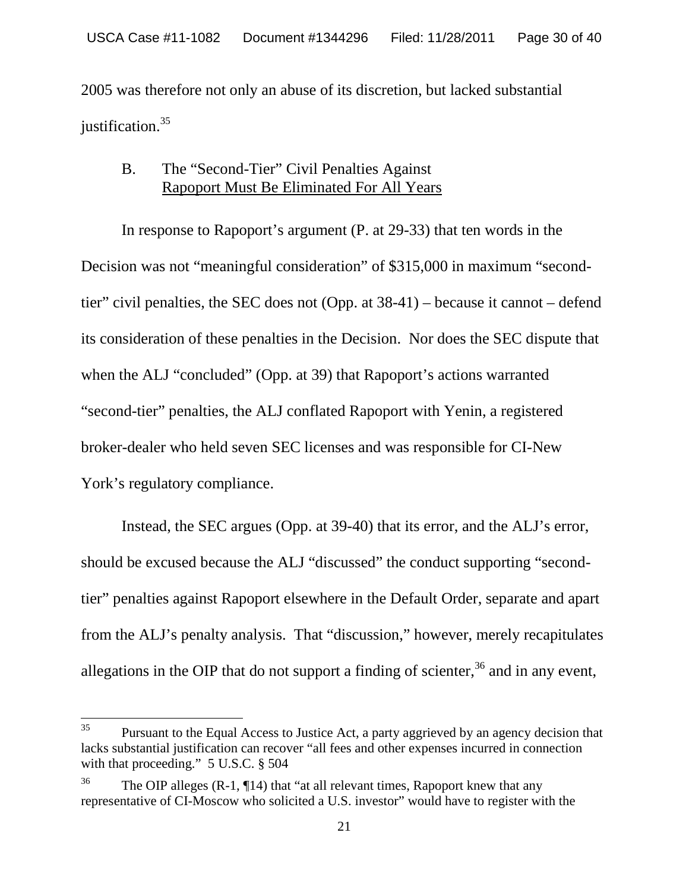2005 was therefore not only an abuse of its discretion, but lacked substantial justification.<sup>35</sup>

#### B. The "Second-Tier" Civil Penalties Against Rapoport Must Be Eliminated For All Years

In response to Rapoport's argument (P. at 29-33) that ten words in the Decision was not "meaningful consideration" of \$315,000 in maximum "secondtier" civil penalties, the SEC does not (Opp. at 38-41) – because it cannot – defend its consideration of these penalties in the Decision. Nor does the SEC dispute that when the ALJ "concluded" (Opp. at 39) that Rapoport's actions warranted "second-tier" penalties, the ALJ conflated Rapoport with Yenin, a registered broker-dealer who held seven SEC licenses and was responsible for CI-New York's regulatory compliance.

Instead, the SEC argues (Opp. at 39-40) that its error, and the ALJ's error, should be excused because the ALJ "discussed" the conduct supporting "secondtier" penalties against Rapoport elsewhere in the Default Order, separate and apart from the ALJ's penalty analysis. That "discussion," however, merely recapitulates allegations in the OIP that do not support a finding of scienter,  $36$  and in any event,

 $35$  Pursuant to the Equal Access to Justice Act, a party aggrieved by an agency decision that lacks substantial justification can recover "all fees and other expenses incurred in connection with that proceeding." 5 U.S.C. § 504

<sup>&</sup>lt;sup>36</sup> The OIP alleges  $(R-1, \P14)$  that "at all relevant times, Rapoport knew that any representative of CI-Moscow who solicited a U.S. investor" would have to register with the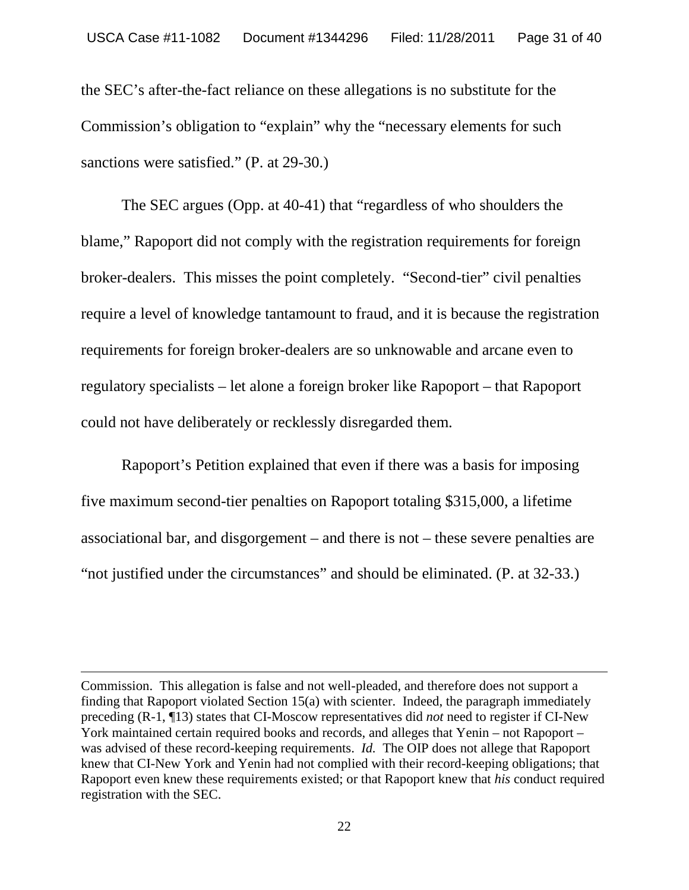the SEC's after-the-fact reliance on these allegations is no substitute for the Commission's obligation to "explain" why the "necessary elements for such sanctions were satisfied." (P. at 29-30.)

The SEC argues (Opp. at 40-41) that "regardless of who shoulders the blame," Rapoport did not comply with the registration requirements for foreign broker-dealers. This misses the point completely. "Second-tier" civil penalties require a level of knowledge tantamount to fraud, and it is because the registration requirements for foreign broker-dealers are so unknowable and arcane even to regulatory specialists – let alone a foreign broker like Rapoport – that Rapoport could not have deliberately or recklessly disregarded them.

Rapoport's Petition explained that even if there was a basis for imposing five maximum second-tier penalties on Rapoport totaling \$315,000, a lifetime associational bar, and disgorgement – and there is not – these severe penalties are "not justified under the circumstances" and should be eliminated. (P. at 32-33.)

Commission. This allegation is false and not well-pleaded, and therefore does not support a finding that Rapoport violated Section 15(a) with scienter. Indeed, the paragraph immediately preceding (R-1, ¶13) states that CI-Moscow representatives did *not* need to register if CI-New York maintained certain required books and records, and alleges that Yenin – not Rapoport – was advised of these record-keeping requirements. *Id.* The OIP does not allege that Rapoport knew that CI-New York and Yenin had not complied with their record-keeping obligations; that Rapoport even knew these requirements existed; or that Rapoport knew that *his* conduct required registration with the SEC.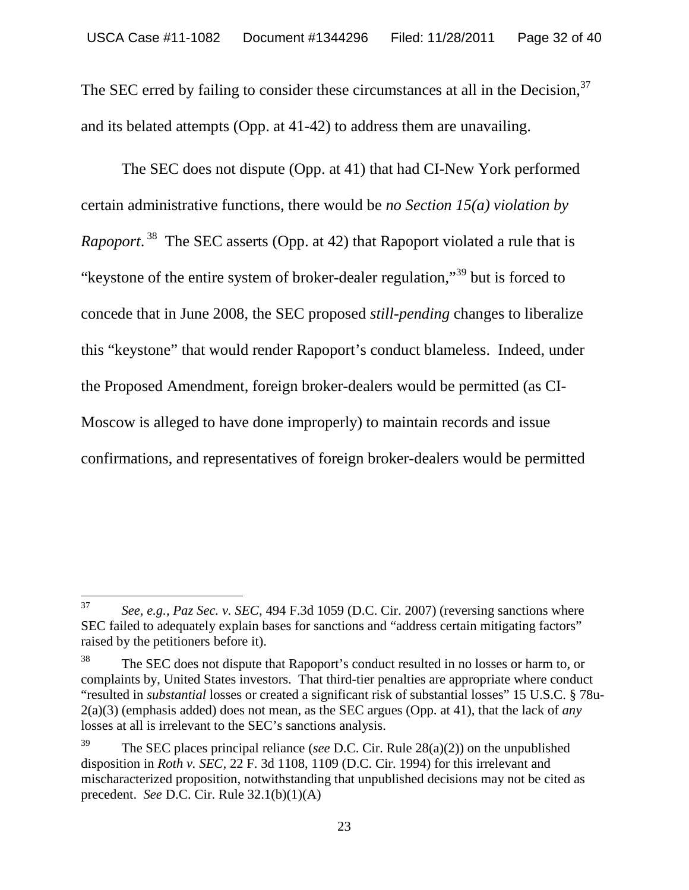The SEC erred by failing to consider these circumstances at all in the Decision,<sup>37</sup> and its belated attempts (Opp. at 41-42) to address them are unavailing.

The SEC does not dispute (Opp. at 41) that had CI-New York performed certain administrative functions, there would be *no Section 15(a) violation by Rapoport*. <sup>38</sup> The SEC asserts (Opp. at 42) that Rapoport violated a rule that is "keystone of the entire system of broker-dealer regulation,"<sup>39</sup> but is forced to concede that in June 2008, the SEC proposed *still-pending* changes to liberalize this "keystone" that would render Rapoport's conduct blameless. Indeed, under the Proposed Amendment, foreign broker-dealers would be permitted (as CI-Moscow is alleged to have done improperly) to maintain records and issue confirmations, and representatives of foreign broker-dealers would be permitted

<sup>37</sup> *See, e.g., Paz Sec. v. SEC*, 494 F.3d 1059 (D.C. Cir. 2007) (reversing sanctions where SEC failed to adequately explain bases for sanctions and "address certain mitigating factors" raised by the petitioners before it).

<sup>&</sup>lt;sup>38</sup> The SEC does not dispute that Rapoport's conduct resulted in no losses or harm to, or complaints by, United States investors. That third-tier penalties are appropriate where conduct "resulted in *substantial* losses or created a significant risk of substantial losses" 15 U.S.C. § 78u-2(a)(3) (emphasis added) does not mean, as the SEC argues (Opp. at 41), that the lack of *any* losses at all is irrelevant to the SEC's sanctions analysis.

<sup>39</sup> The SEC places principal reliance (*see* D.C. Cir. Rule 28(a)(2)) on the unpublished disposition in *Roth v. SEC,* 22 F. 3d 1108, 1109 (D.C. Cir. 1994) for this irrelevant and mischaracterized proposition, notwithstanding that unpublished decisions may not be cited as precedent. *See* D.C. Cir. Rule 32.1(b)(1)(A)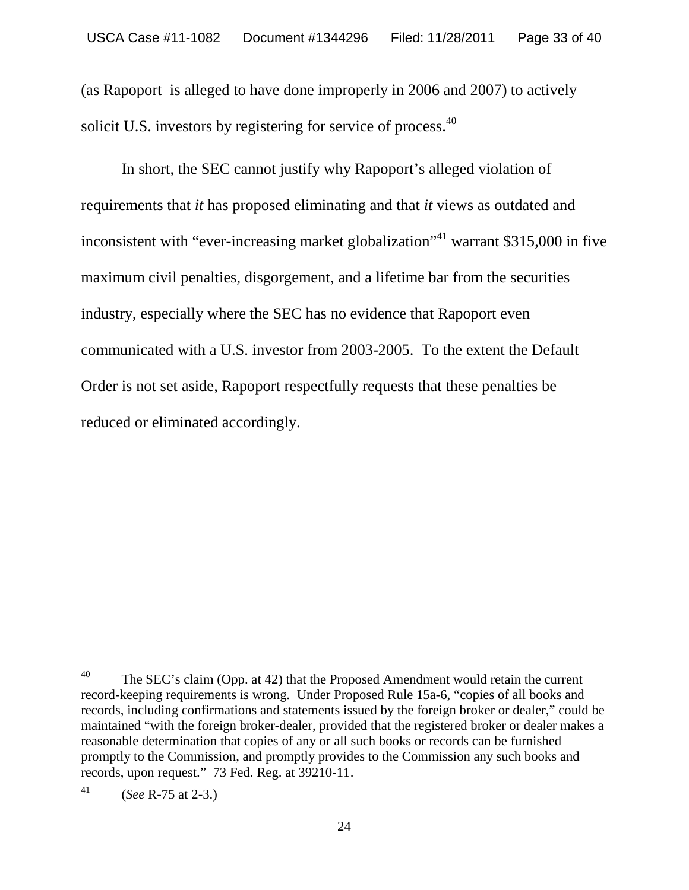(as Rapoport is alleged to have done improperly in 2006 and 2007) to actively solicit U.S. investors by registering for service of process.<sup>40</sup>

In short, the SEC cannot justify why Rapoport's alleged violation of requirements that *it* has proposed eliminating and that *it* views as outdated and inconsistent with "ever-increasing market globalization"<sup>41</sup> warrant \$315,000 in five maximum civil penalties, disgorgement, and a lifetime bar from the securities industry, especially where the SEC has no evidence that Rapoport even communicated with a U.S. investor from 2003-2005. To the extent the Default Order is not set aside, Rapoport respectfully requests that these penalties be reduced or eliminated accordingly.

<sup>&</sup>lt;sup>40</sup> The SEC's claim (Opp. at 42) that the Proposed Amendment would retain the current record-keeping requirements is wrong. Under Proposed Rule 15a-6, "copies of all books and records, including confirmations and statements issued by the foreign broker or dealer," could be maintained "with the foreign broker-dealer, provided that the registered broker or dealer makes a reasonable determination that copies of any or all such books or records can be furnished promptly to the Commission, and promptly provides to the Commission any such books and records, upon request." 73 Fed. Reg. at 39210-11.

<sup>41</sup> (*See* R-75 at 2-3.)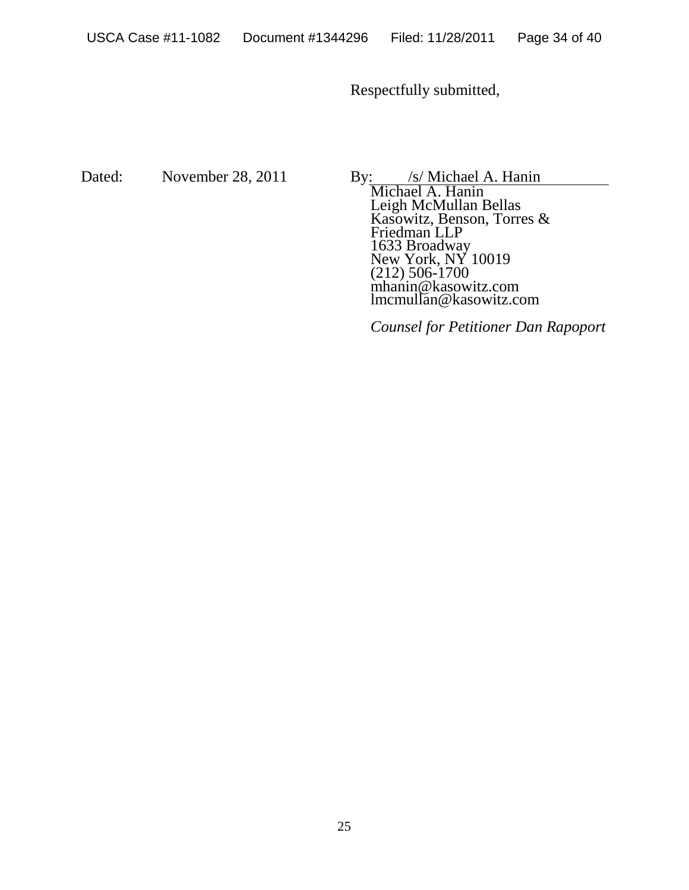Respectfully submitted,

Dated: November 28, 2011 By: /s/ Michael A. Hanin

Michael A. Hanin Leigh McMullan Bellas Kasowitz, Benson, Torres & Friedman LLP 1633 Broadway New York, NY 10019 (212) 506-1700 mhanin@kasowitz.com lmcmullan@kasowitz.com

*Counsel for Petitioner Dan Rapoport*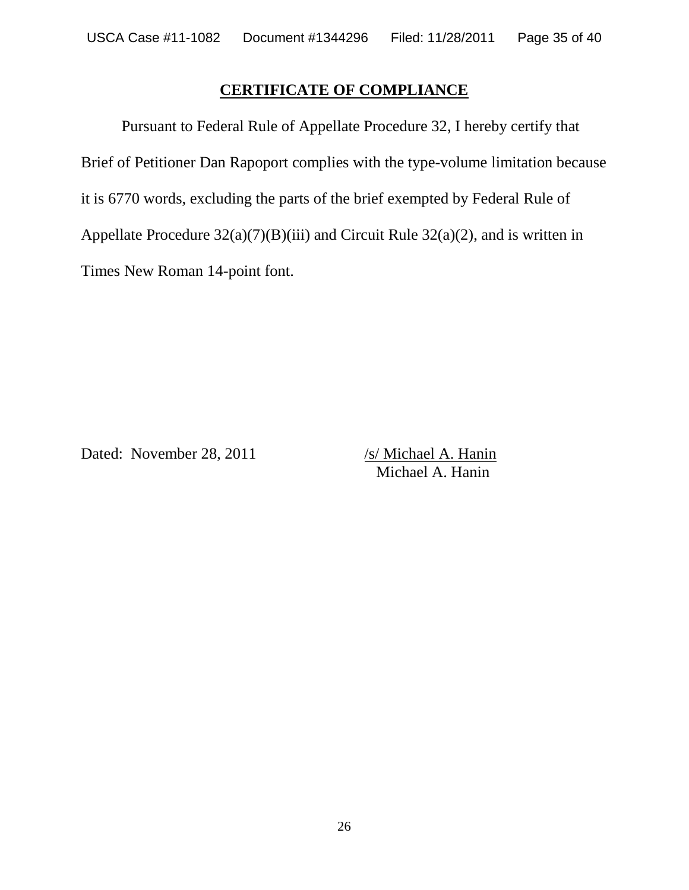# **CERTIFICATE OF COMPLIANCE**

Pursuant to Federal Rule of Appellate Procedure 32, I hereby certify that Brief of Petitioner Dan Rapoport complies with the type-volume limitation because it is 6770 words, excluding the parts of the brief exempted by Federal Rule of Appellate Procedure 32(a)(7)(B)(iii) and Circuit Rule 32(a)(2), and is written in Times New Roman 14-point font.

Dated: November 28, 2011 /s/ Michael A. Hanin

Michael A. Hanin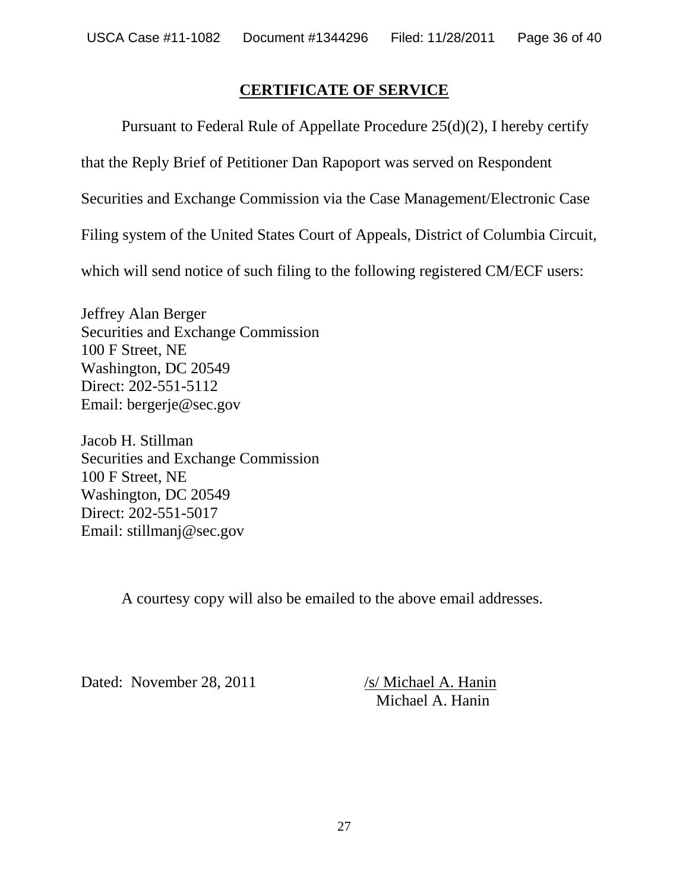### **CERTIFICATE OF SERVICE**

Pursuant to Federal Rule of Appellate Procedure 25(d)(2), I hereby certify

that the Reply Brief of Petitioner Dan Rapoport was served on Respondent

Securities and Exchange Commission via the Case Management/Electronic Case

Filing system of the United States Court of Appeals, District of Columbia Circuit,

which will send notice of such filing to the following registered CM/ECF users:

Jeffrey Alan Berger Securities and Exchange Commission 100 F Street, NE Washington, DC 20549 Direct: 202-551-5112 Email: bergerje@sec.gov

Jacob H. Stillman Securities and Exchange Commission 100 F Street, NE Washington, DC 20549 Direct: 202-551-5017 Email: stillmanj@sec.gov

A courtesy copy will also be emailed to the above email addresses.

Dated: November 28, 2011 /s/ Michael A. Hanin

Michael A. Hanin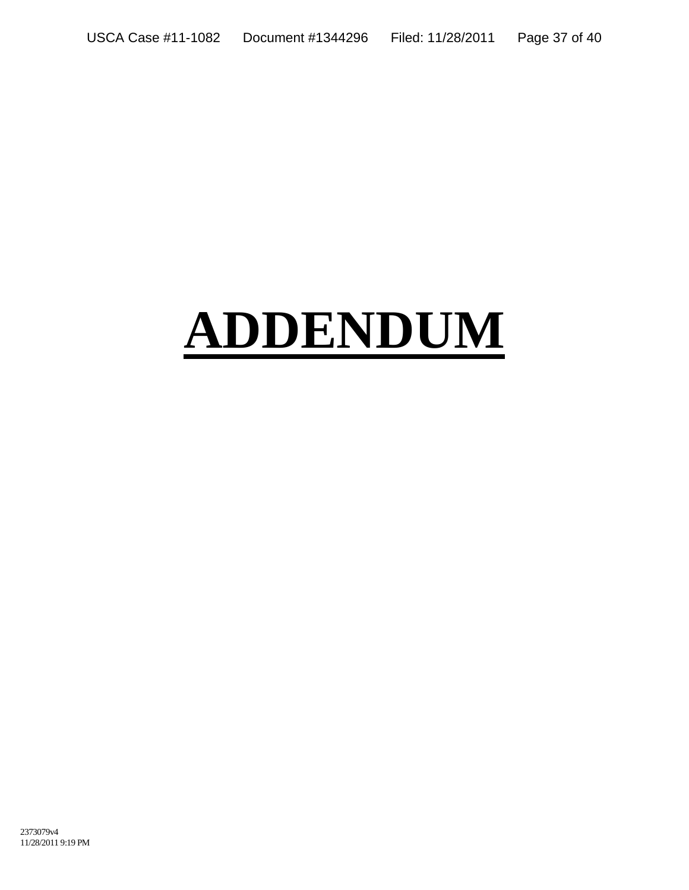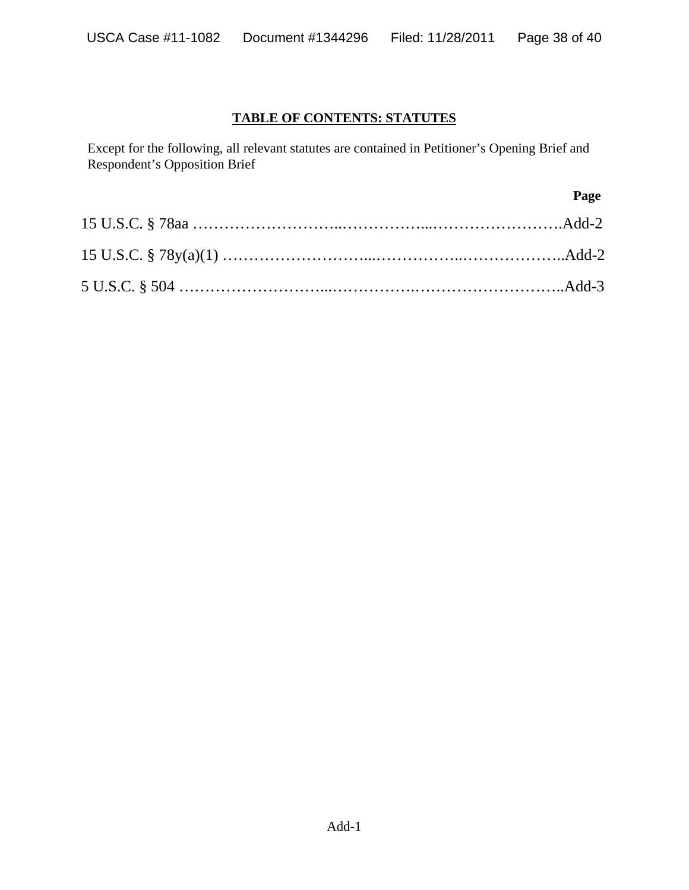#### **TABLE OF CONTENTS: STATUTES**

Except for the following, all relevant statutes are contained in Petitioner's Opening Brief and Respondent's Opposition Brief

| Page |
|------|
|      |
|      |
|      |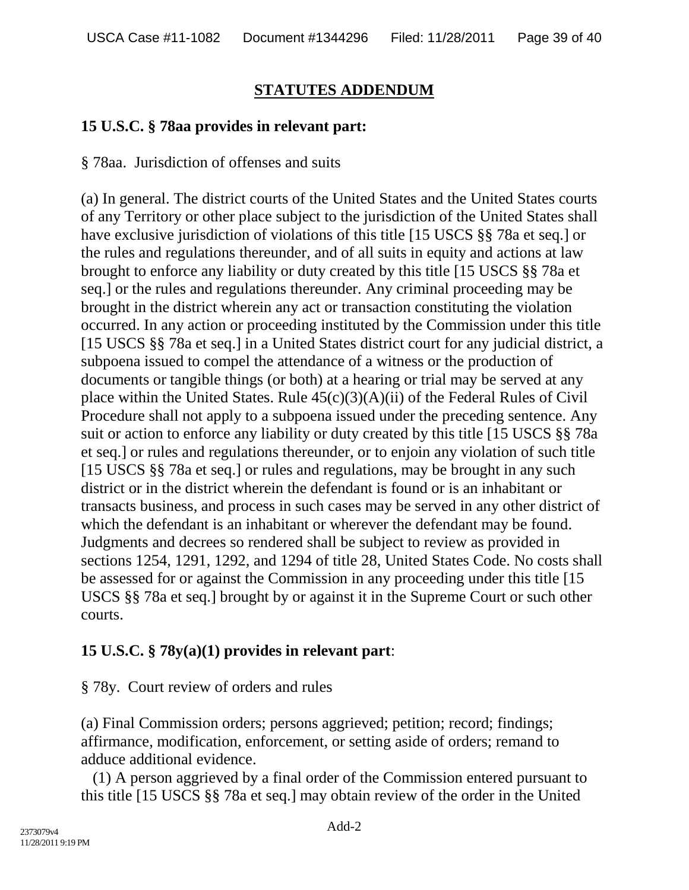## **STATUTES ADDENDUM**

## **15 U.S.C. § 78aa provides in relevant part:**

§ 78aa. Jurisdiction of offenses and suits

(a) In general. The district courts of the United States and the United States courts of any Territory or other place subject to the jurisdiction of the United States shall have exclusive jurisdiction of violations of this title [15 USCS §§ 78a et seq.] or the rules and regulations thereunder, and of all suits in equity and actions at law brought to enforce any liability or duty created by this title [15 USCS §§ 78a et seq.] or the rules and regulations thereunder. Any criminal proceeding may be brought in the district wherein any act or transaction constituting the violation occurred. In any action or proceeding instituted by the Commission under this title [15 USCS §§ 78a et seq.] in a United States district court for any judicial district, a subpoena issued to compel the attendance of a witness or the production of documents or tangible things (or both) at a hearing or trial may be served at any place within the United States. Rule  $45(c)(3)(A)(ii)$  of the Federal Rules of Civil Procedure shall not apply to a subpoena issued under the preceding sentence. Any suit or action to enforce any liability or duty created by this title [15 USCS §§ 78a et seq.] or rules and regulations thereunder, or to enjoin any violation of such title [15 USCS §§ 78a et seq.] or rules and regulations, may be brought in any such district or in the district wherein the defendant is found or is an inhabitant or transacts business, and process in such cases may be served in any other district of which the defendant is an inhabitant or wherever the defendant may be found. Judgments and decrees so rendered shall be subject to review as provided in sections 1254, 1291, 1292, and 1294 of title 28, United States Code. No costs shall be assessed for or against the Commission in any proceeding under this title [15 USCS §§ 78a et seq.] brought by or against it in the Supreme Court or such other courts.

# **15 U.S.C. § 78y(a)(1) provides in relevant part**:

§ 78y. Court review of orders and rules

(a) Final Commission orders; persons aggrieved; petition; record; findings; affirmance, modification, enforcement, or setting aside of orders; remand to adduce additional evidence.

(1) A person aggrieved by a final order of the Commission entered pursuant to this title [15 USCS §§ 78a et seq.] may obtain review of the order in the United